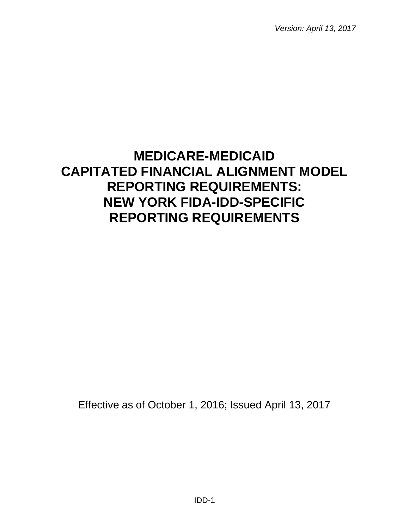*Version: April 13, 2017*

# **MEDICARE-MEDICAID CAPITATED FINANCIAL ALIGNMENT MODEL REPORTING REQUIREMENTS: NEW YORK FIDA-IDD-SPECIFIC REPORTING REQUIREMENTS**

Effective as of October 1, 2016; Issued April 13, 2017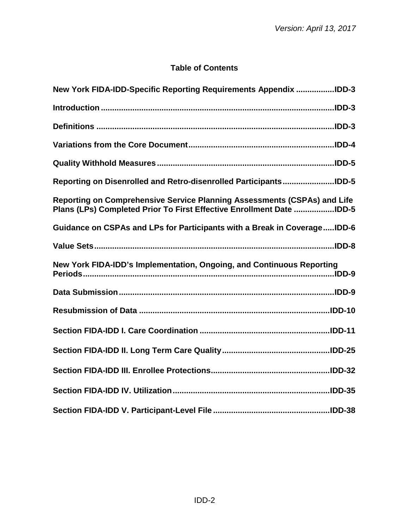## **Table of Contents**

| New York FIDA-IDD-Specific Reporting Requirements Appendix IDD-3                                                                                 |
|--------------------------------------------------------------------------------------------------------------------------------------------------|
|                                                                                                                                                  |
|                                                                                                                                                  |
|                                                                                                                                                  |
|                                                                                                                                                  |
| Reporting on Disenrolled and Retro-disenrolled ParticipantsIDD-5                                                                                 |
| Reporting on Comprehensive Service Planning Assessments (CSPAs) and Life<br>Plans (LPs) Completed Prior To First Effective Enrollment Date IDD-5 |
| Guidance on CSPAs and LPs for Participants with a Break in CoverageIDD-6                                                                         |
|                                                                                                                                                  |
| New York FIDA-IDD's Implementation, Ongoing, and Continuous Reporting                                                                            |
|                                                                                                                                                  |
|                                                                                                                                                  |
|                                                                                                                                                  |
|                                                                                                                                                  |
|                                                                                                                                                  |
|                                                                                                                                                  |
|                                                                                                                                                  |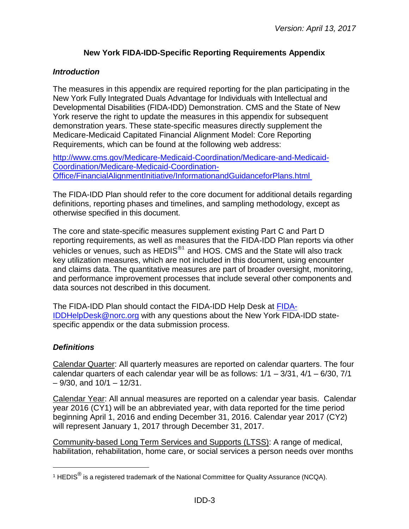## **New York FIDA-IDD-Specific Reporting Requirements Appendix**

#### <span id="page-2-1"></span><span id="page-2-0"></span>*Introduction*

The measures in this appendix are required reporting for the plan participating in the New York Fully Integrated Duals Advantage for Individuals with Intellectual and Developmental Disabilities (FIDA-IDD) Demonstration. CMS and the State of New York reserve the right to update the measures in this appendix for subsequent demonstration years. These state-specific measures directly supplement the Medicare-Medicaid Capitated Financial Alignment Model: Core Reporting Requirements, which can be found at the following web address:

[http://www.cms.gov/Medicare-Medicaid-Coordination/Medicare-and-Medicaid-](http://www.cms.gov/Medicare-Medicaid-Coordination/Medicare-and-Medicaid-Coordination/Medicare-Medicaid-Coordination-Office/FinancialAlignmentInitiative/InformationandGuidanceforPlans.html)[Coordination/Medicare-Medicaid-Coordination-](http://www.cms.gov/Medicare-Medicaid-Coordination/Medicare-and-Medicaid-Coordination/Medicare-Medicaid-Coordination-Office/FinancialAlignmentInitiative/InformationandGuidanceforPlans.html)[Office/FinancialAlignmentInitiative/InformationandGuidanceforPlans.html](http://www.cms.gov/Medicare-Medicaid-Coordination/Medicare-and-Medicaid-Coordination/Medicare-Medicaid-Coordination-Office/FinancialAlignmentInitiative/InformationandGuidanceforPlans.html)

The FIDA-IDD Plan should refer to the core document for additional details regarding definitions, reporting phases and timelines, and sampling methodology, except as otherwise specified in this document.

The core and state-specific measures supplement existing Part C and Part D reporting requirements, as well as measures that the FIDA-IDD Plan reports via other vehicles or venues, such as HEDIS<sup>[®1](#page-2-3)</sup> and HOS. CMS and the State will also track key utilization measures, which are not included in this document, using encounter and claims data. The quantitative measures are part of broader oversight, monitoring, and performance improvement processes that include several other components and data sources not described in this document.

The FIDA-IDD Plan should contact the FIDA-IDD Help Desk at [FIDA-](mailto:NYHelpDesk@norc.org)[IDDHelpDesk@norc.org](mailto:NYHelpDesk@norc.org) with any questions about the New York FIDA-IDD statespecific appendix or the data submission process.

#### <span id="page-2-2"></span>*Definitions*

l

Calendar Quarter: All quarterly measures are reported on calendar quarters. The four calendar quarters of each calendar year will be as follows:  $1/1 - 3/31$ ,  $4/1 - 6/30$ ,  $7/1$  $-9/30$ , and  $10/1 - 12/31$ .

Calendar Year: All annual measures are reported on a calendar year basis. Calendar year 2016 (CY1) will be an abbreviated year, with data reported for the time period beginning April 1, 2016 and ending December 31, 2016. Calendar year 2017 (CY2) will represent January 1, 2017 through December 31, 2017.

Community-based Long Term Services and Supports (LTSS): A range of medical, habilitation, rehabilitation, home care, or social services a person needs over months

<span id="page-2-3"></span><sup>&</sup>lt;sup>1</sup> HEDIS<sup>®</sup> is a registered trademark of the National Committee for Quality Assurance (NCQA).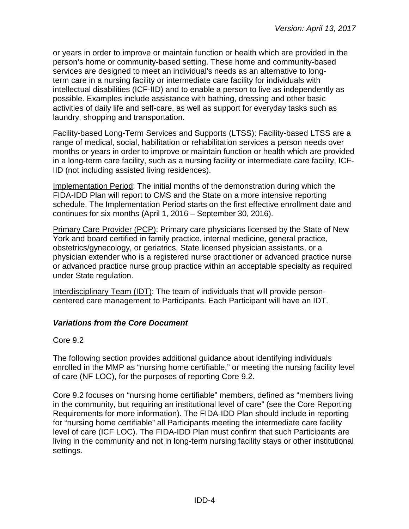or years in order to improve or maintain function or health which are provided in the person's home or community-based setting. These home and community-based services are designed to meet an individual's needs as an alternative to longterm care in a nursing facility or intermediate care facility for individuals with intellectual disabilities (ICF-IID) and to enable a person to live as independently as possible. Examples include assistance with bathing, dressing and other basic activities of daily life and self-care, as well as support for everyday tasks such as laundry, shopping and transportation.

Facility-based Long-Term Services and Supports (LTSS): Facility-based LTSS are a range of medical, social, habilitation or rehabilitation services a person needs over months or years in order to improve or maintain function or health which are provided in a long-term care facility, such as a nursing facility or intermediate care facility, ICF-IID (not including assisted living residences).

Implementation Period: The initial months of the demonstration during which the FIDA-IDD Plan will report to CMS and the State on a more intensive reporting schedule. The Implementation Period starts on the first effective enrollment date and continues for six months (April 1, 2016 – September 30, 2016).

Primary Care Provider (PCP): Primary care physicians licensed by the State of New York and board certified in family practice, internal medicine, general practice, obstetrics/gynecology, or geriatrics, State licensed physician assistants, or a physician extender who is a registered nurse practitioner or advanced practice nurse or advanced practice nurse group practice within an acceptable specialty as required under State regulation.

Interdisciplinary Team (IDT): The team of individuals that will provide personcentered care management to Participants. Each Participant will have an IDT.

## <span id="page-3-0"></span>*Variations from the Core Document*

## Core 9.2

The following section provides additional guidance about identifying individuals enrolled in the MMP as "nursing home certifiable," or meeting the nursing facility level of care (NF LOC), for the purposes of reporting Core 9.2.

Core 9.2 focuses on "nursing home certifiable" members, defined as "members living in the community, but requiring an institutional level of care" (see the Core Reporting Requirements for more information). The FIDA-IDD Plan should include in reporting for "nursing home certifiable" all Participants meeting the intermediate care facility level of care (ICF LOC). The FIDA-IDD Plan must confirm that such Participants are living in the community and not in long-term nursing facility stays or other institutional settings.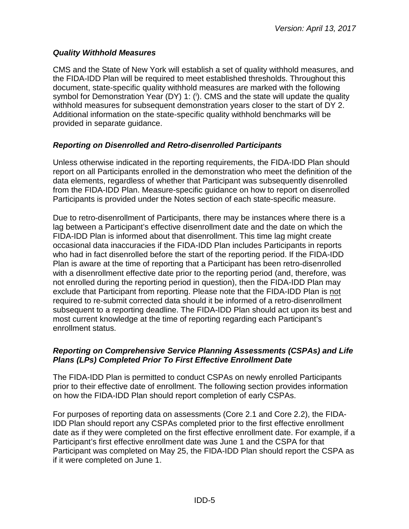#### <span id="page-4-0"></span>*Quality Withhold Measures*

CMS and the State of New York will establish a set of quality withhold measures, and the FIDA-IDD Plan will be required to meet established thresholds. Throughout this document, state-specific quality withhold measures are marked with the following symbol for Demonstration Year (DY) 1: (i). CMS and the state will update the quality withhold measures for subsequent demonstration years closer to the start of DY 2. Additional information on the state-specific quality withhold benchmarks will be provided in separate guidance.

## <span id="page-4-1"></span>*Reporting on Disenrolled and Retro-disenrolled Participants*

Unless otherwise indicated in the reporting requirements, the FIDA-IDD Plan should report on all Participants enrolled in the demonstration who meet the definition of the data elements, regardless of whether that Participant was subsequently disenrolled from the FIDA-IDD Plan. Measure-specific guidance on how to report on disenrolled Participants is provided under the Notes section of each state-specific measure.

Due to retro-disenrollment of Participants, there may be instances where there is a lag between a Participant's effective disenrollment date and the date on which the FIDA-IDD Plan is informed about that disenrollment. This time lag might create occasional data inaccuracies if the FIDA-IDD Plan includes Participants in reports who had in fact disenrolled before the start of the reporting period. If the FIDA-IDD Plan is aware at the time of reporting that a Participant has been retro-disenrolled with a disenrollment effective date prior to the reporting period (and, therefore, was not enrolled during the reporting period in question), then the FIDA-IDD Plan may exclude that Participant from reporting. Please note that the FIDA-IDD Plan is not required to re-submit corrected data should it be informed of a retro-disenrollment subsequent to a reporting deadline. The FIDA-IDD Plan should act upon its best and most current knowledge at the time of reporting regarding each Participant's enrollment status.

#### <span id="page-4-2"></span>*Reporting on Comprehensive Service Planning Assessments (CSPAs) and Life Plans (LPs) Completed Prior To First Effective Enrollment Date*

The FIDA-IDD Plan is permitted to conduct CSPAs on newly enrolled Participants prior to their effective date of enrollment. The following section provides information on how the FIDA-IDD Plan should report completion of early CSPAs.

For purposes of reporting data on assessments (Core 2.1 and Core 2.2), the FIDA-IDD Plan should report any CSPAs completed prior to the first effective enrollment date as if they were completed on the first effective enrollment date. For example, if a Participant's first effective enrollment date was June 1 and the CSPA for that Participant was completed on May 25, the FIDA-IDD Plan should report the CSPA as if it were completed on June 1.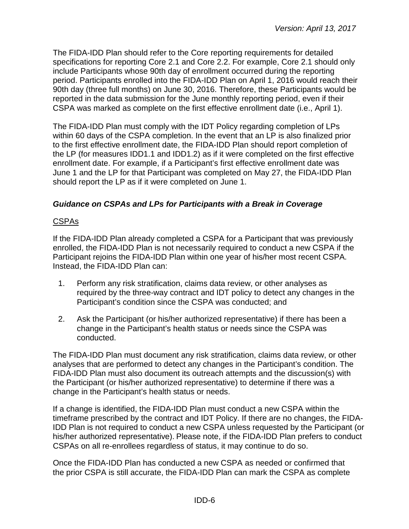The FIDA-IDD Plan should refer to the Core reporting requirements for detailed specifications for reporting Core 2.1 and Core 2.2. For example, Core 2.1 should only include Participants whose 90th day of enrollment occurred during the reporting period. Participants enrolled into the FIDA-IDD Plan on April 1, 2016 would reach their 90th day (three full months) on June 30, 2016. Therefore, these Participants would be reported in the data submission for the June monthly reporting period, even if their CSPA was marked as complete on the first effective enrollment date (i.e., April 1).

The FIDA-IDD Plan must comply with the IDT Policy regarding completion of LPs within 60 days of the CSPA completion. In the event that an LP is also finalized prior to the first effective enrollment date, the FIDA-IDD Plan should report completion of the LP (for measures IDD1.1 and IDD1.2) as if it were completed on the first effective enrollment date. For example, if a Participant's first effective enrollment date was June 1 and the LP for that Participant was completed on May 27, the FIDA-IDD Plan should report the LP as if it were completed on June 1.

## <span id="page-5-0"></span>*Guidance on CSPAs and LPs for Participants with a Break in Coverage*

## CSPAs

If the FIDA-IDD Plan already completed a CSPA for a Participant that was previously enrolled, the FIDA-IDD Plan is not necessarily required to conduct a new CSPA if the Participant rejoins the FIDA-IDD Plan within one year of his/her most recent CSPA. Instead, the FIDA-IDD Plan can:

- 1. Perform any risk stratification, claims data review, or other analyses as required by the three-way contract and IDT policy to detect any changes in the Participant's condition since the CSPA was conducted; and
- 2. Ask the Participant (or his/her authorized representative) if there has been a change in the Participant's health status or needs since the CSPA was conducted.

The FIDA-IDD Plan must document any risk stratification, claims data review, or other analyses that are performed to detect any changes in the Participant's condition. The FIDA-IDD Plan must also document its outreach attempts and the discussion(s) with the Participant (or his/her authorized representative) to determine if there was a change in the Participant's health status or needs.

If a change is identified, the FIDA-IDD Plan must conduct a new CSPA within the timeframe prescribed by the contract and IDT Policy. If there are no changes, the FIDA-IDD Plan is not required to conduct a new CSPA unless requested by the Participant (or his/her authorized representative). Please note, if the FIDA-IDD Plan prefers to conduct CSPAs on all re-enrollees regardless of status, it may continue to do so.

Once the FIDA-IDD Plan has conducted a new CSPA as needed or confirmed that the prior CSPA is still accurate, the FIDA-IDD Plan can mark the CSPA as complete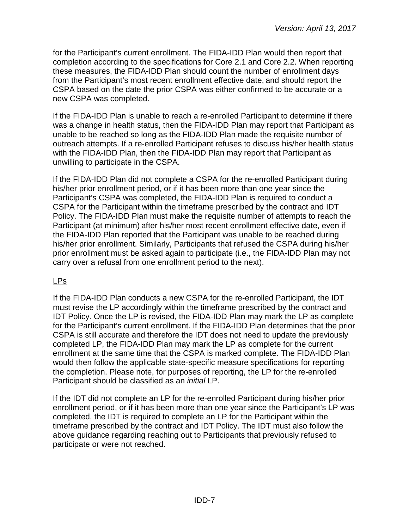for the Participant's current enrollment. The FIDA-IDD Plan would then report that completion according to the specifications for Core 2.1 and Core 2.2. When reporting these measures, the FIDA-IDD Plan should count the number of enrollment days from the Participant's most recent enrollment effective date, and should report the CSPA based on the date the prior CSPA was either confirmed to be accurate or a new CSPA was completed.

If the FIDA-IDD Plan is unable to reach a re-enrolled Participant to determine if there was a change in health status, then the FIDA-IDD Plan may report that Participant as unable to be reached so long as the FIDA-IDD Plan made the requisite number of outreach attempts. If a re-enrolled Participant refuses to discuss his/her health status with the FIDA-IDD Plan, then the FIDA-IDD Plan may report that Participant as unwilling to participate in the CSPA.

If the FIDA-IDD Plan did not complete a CSPA for the re-enrolled Participant during his/her prior enrollment period, or if it has been more than one year since the Participant's CSPA was completed, the FIDA-IDD Plan is required to conduct a CSPA for the Participant within the timeframe prescribed by the contract and IDT Policy. The FIDA-IDD Plan must make the requisite number of attempts to reach the Participant (at minimum) after his/her most recent enrollment effective date, even if the FIDA-IDD Plan reported that the Participant was unable to be reached during his/her prior enrollment. Similarly, Participants that refused the CSPA during his/her prior enrollment must be asked again to participate (i.e., the FIDA-IDD Plan may not carry over a refusal from one enrollment period to the next).

## LPs

If the FIDA-IDD Plan conducts a new CSPA for the re-enrolled Participant, the IDT must revise the LP accordingly within the timeframe prescribed by the contract and IDT Policy. Once the LP is revised, the FIDA-IDD Plan may mark the LP as complete for the Participant's current enrollment. If the FIDA-IDD Plan determines that the prior CSPA is still accurate and therefore the IDT does not need to update the previously completed LP, the FIDA-IDD Plan may mark the LP as complete for the current enrollment at the same time that the CSPA is marked complete. The FIDA-IDD Plan would then follow the applicable state-specific measure specifications for reporting the completion. Please note, for purposes of reporting, the LP for the re-enrolled Participant should be classified as an *initial* LP.

If the IDT did not complete an LP for the re-enrolled Participant during his/her prior enrollment period, or if it has been more than one year since the Participant's LP was completed, the IDT is required to complete an LP for the Participant within the timeframe prescribed by the contract and IDT Policy. The IDT must also follow the above guidance regarding reaching out to Participants that previously refused to participate or were not reached.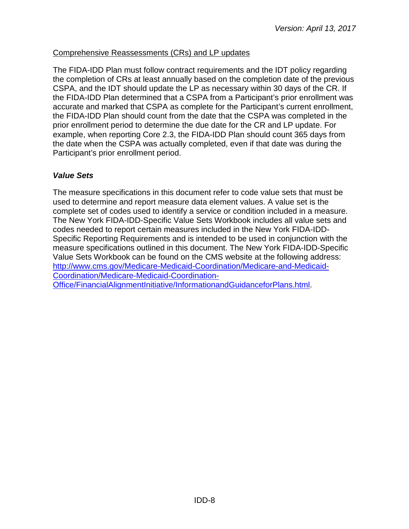## Comprehensive Reassessments (CRs) and LP updates

The FIDA-IDD Plan must follow contract requirements and the IDT policy regarding the completion of CRs at least annually based on the completion date of the previous CSPA, and the IDT should update the LP as necessary within 30 days of the CR. If the FIDA-IDD Plan determined that a CSPA from a Participant's prior enrollment was accurate and marked that CSPA as complete for the Participant's current enrollment, the FIDA-IDD Plan should count from the date that the CSPA was completed in the prior enrollment period to determine the due date for the CR and LP update. For example, when reporting Core 2.3, the FIDA-IDD Plan should count 365 days from the date when the CSPA was actually completed, even if that date was during the Participant's prior enrollment period.

## <span id="page-7-0"></span>*Value Sets*

The measure specifications in this document refer to code value sets that must be used to determine and report measure data element values. A value set is the complete set of codes used to identify a service or condition included in a measure. The New York FIDA-IDD-Specific Value Sets Workbook includes all value sets and codes needed to report certain measures included in the New York FIDA-IDD-Specific Reporting Requirements and is intended to be used in conjunction with the measure specifications outlined in this document. The New York FIDA-IDD-Specific Value Sets Workbook can be found on the CMS website at the following address: [http://www.cms.gov/Medicare-Medicaid-Coordination/Medicare-and-Medicaid-](http://www.cms.gov/Medicare-Medicaid-Coordination/Medicare-and-Medicaid-Coordination/Medicare-Medicaid-Coordination-Office/FinancialAlignmentInitiative/InformationandGuidanceforPlans.html)[Coordination/Medicare-Medicaid-Coordination-](http://www.cms.gov/Medicare-Medicaid-Coordination/Medicare-and-Medicaid-Coordination/Medicare-Medicaid-Coordination-Office/FinancialAlignmentInitiative/InformationandGuidanceforPlans.html)[Office/FinancialAlignmentInitiative/InformationandGuidanceforPlans.html.](http://www.cms.gov/Medicare-Medicaid-Coordination/Medicare-and-Medicaid-Coordination/Medicare-Medicaid-Coordination-Office/FinancialAlignmentInitiative/InformationandGuidanceforPlans.html)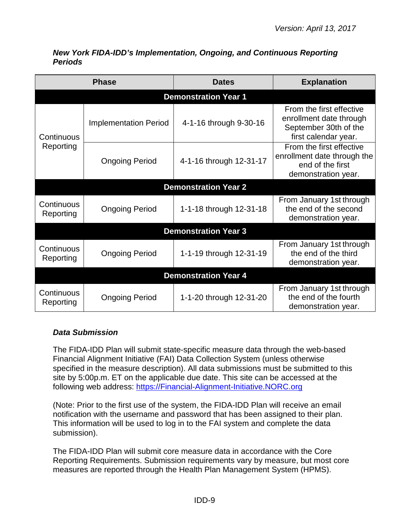| <b>Phase</b>                |                              | <b>Dates</b>                | <b>Explanation</b>                                                                                   |  |
|-----------------------------|------------------------------|-----------------------------|------------------------------------------------------------------------------------------------------|--|
|                             |                              | <b>Demonstration Year 1</b> |                                                                                                      |  |
| Continuous<br>Reporting     | <b>Implementation Period</b> | 4-1-16 through 9-30-16      | From the first effective<br>enrollment date through<br>September 30th of the<br>first calendar year. |  |
|                             | <b>Ongoing Period</b>        | 4-1-16 through 12-31-17     | From the first effective<br>enrollment date through the<br>end of the first<br>demonstration year.   |  |
|                             |                              | <b>Demonstration Year 2</b> |                                                                                                      |  |
| Continuous<br>Reporting     | <b>Ongoing Period</b>        | 1-1-18 through 12-31-18     | From January 1st through<br>the end of the second<br>demonstration year.                             |  |
|                             |                              | <b>Demonstration Year 3</b> |                                                                                                      |  |
| Continuous<br>Reporting     | <b>Ongoing Period</b>        | 1-1-19 through 12-31-19     | From January 1st through<br>the end of the third<br>demonstration year.                              |  |
| <b>Demonstration Year 4</b> |                              |                             |                                                                                                      |  |
| Continuous<br>Reporting     | <b>Ongoing Period</b>        | 1-1-20 through 12-31-20     | From January 1st through<br>the end of the fourth<br>demonstration year.                             |  |

<span id="page-8-0"></span>*New York FIDA-IDD's Implementation, Ongoing, and Continuous Reporting Periods*

## <span id="page-8-1"></span>*Data Submission*

The FIDA-IDD Plan will submit state-specific measure data through the web-based Financial Alignment Initiative (FAI) Data Collection System (unless otherwise specified in the measure description). All data submissions must be submitted to this site by 5:00p.m. ET on the applicable due date. This site can be accessed at the following web address: [https://Financial-Alignment-Initiative.NORC.org](https://financial-alignment-initiative.norc.org/)

(Note: Prior to the first use of the system, the FIDA-IDD Plan will receive an email notification with the username and password that has been assigned to their plan. This information will be used to log in to the FAI system and complete the data submission).

The FIDA-IDD Plan will submit core measure data in accordance with the Core Reporting Requirements. Submission requirements vary by measure, but most core measures are reported through the Health Plan Management System (HPMS).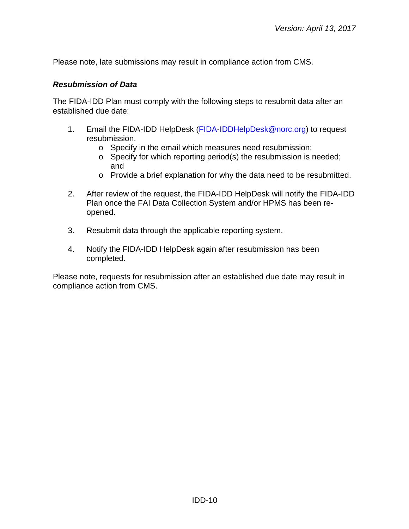Please note, late submissions may result in compliance action from CMS.

#### <span id="page-9-0"></span>*Resubmission of Data*

The FIDA-IDD Plan must comply with the following steps to resubmit data after an established due date:

- 1. Email the FIDA-IDD HelpDesk [\(FIDA-IDDHelpDesk@norc.org\)](mailto:NYHelpDesk@norc.org) to request resubmission.
	- o Specify in the email which measures need resubmission;
	- o Specify for which reporting period(s) the resubmission is needed; and
	- o Provide a brief explanation for why the data need to be resubmitted.
- 2. After review of the request, the FIDA-IDD HelpDesk will notify the FIDA-IDD Plan once the FAI Data Collection System and/or HPMS has been reopened.
- 3. Resubmit data through the applicable reporting system.
- 4. Notify the FIDA-IDD HelpDesk again after resubmission has been completed.

Please note, requests for resubmission after an established due date may result in compliance action from CMS.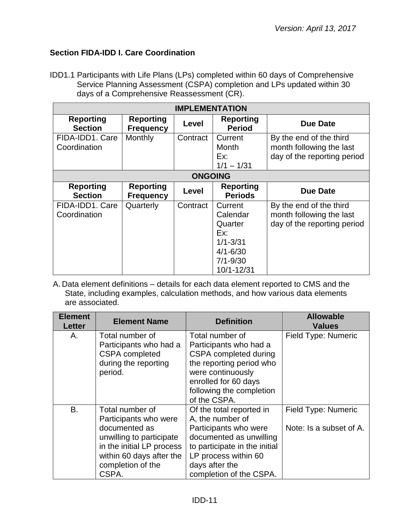## <span id="page-10-0"></span>**Section FIDA-IDD I. Care Coordination**

IDD1.1 Participants with Life Plans (LPs) completed within 60 days of Comprehensive Service Planning Assessment (CSPA) completion and LPs updated within 30 days of a Comprehensive Reassessment (CR).

| <b>IMPLEMENTATION</b>              |                                      |                |                                                                                                     |                                                                                    |  |
|------------------------------------|--------------------------------------|----------------|-----------------------------------------------------------------------------------------------------|------------------------------------------------------------------------------------|--|
| <b>Reporting</b><br><b>Section</b> | <b>Reporting</b><br><b>Frequency</b> | Level          | <b>Reporting</b><br><b>Period</b>                                                                   | <b>Due Date</b>                                                                    |  |
| FIDA-IDD1. Care<br>Coordination    | Monthly                              | Contract       | Current<br>Month<br>Ex:                                                                             | By the end of the third<br>month following the last<br>day of the reporting period |  |
|                                    |                                      | <b>ONGOING</b> | $1/1 - 1/31$                                                                                        |                                                                                    |  |
| <b>Reporting</b><br><b>Section</b> | <b>Reporting</b><br><b>Frequency</b> | Level          | <b>Reporting</b><br><b>Periods</b>                                                                  | Due Date                                                                           |  |
| FIDA-IDD1, Care<br>Coordination    | Quarterly                            | Contract       | Current<br>Calendar<br>Quarter<br>Ex:<br>$1/1 - 3/31$<br>$4/1 - 6/30$<br>$7/1 - 9/30$<br>10/1-12/31 | By the end of the third<br>month following the last<br>day of the reporting period |  |

| <b>Element</b><br><b>Letter</b> | <b>Element Name</b>       | <b>Definition</b>             | <b>Allowable</b><br><b>Values</b> |
|---------------------------------|---------------------------|-------------------------------|-----------------------------------|
| Α.                              | Total number of           | Total number of               | Field Type: Numeric               |
|                                 | Participants who had a    | Participants who had a        |                                   |
|                                 | <b>CSPA</b> completed     | CSPA completed during         |                                   |
|                                 | during the reporting      | the reporting period who      |                                   |
|                                 | period.                   | were continuously             |                                   |
|                                 |                           | enrolled for 60 days          |                                   |
|                                 |                           | following the completion      |                                   |
|                                 |                           | of the CSPA.                  |                                   |
| В.                              | Total number of           | Of the total reported in      | Field Type: Numeric               |
|                                 | Participants who were     | A, the number of              |                                   |
|                                 | documented as             | Participants who were         | Note: Is a subset of A.           |
|                                 | unwilling to participate  | documented as unwilling       |                                   |
|                                 | in the initial LP process | to participate in the initial |                                   |
|                                 | within 60 days after the  | LP process within 60          |                                   |
|                                 | completion of the         | days after the                |                                   |
|                                 | CSPA.                     | completion of the CSPA.       |                                   |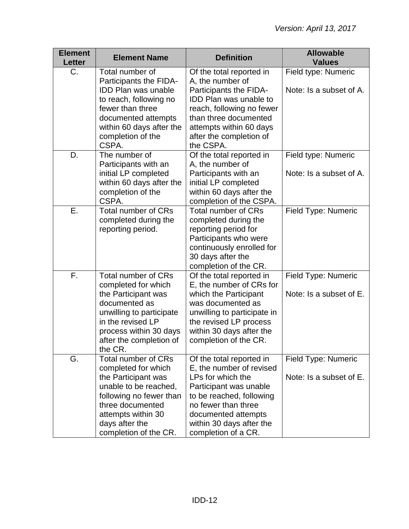| <b>Element</b><br><b>Letter</b> | <b>Element Name</b>                                                                                                                                                                                               | <b>Definition</b>                                                                                                                                                                                                                | <b>Allowable</b><br><b>Values</b>              |
|---------------------------------|-------------------------------------------------------------------------------------------------------------------------------------------------------------------------------------------------------------------|----------------------------------------------------------------------------------------------------------------------------------------------------------------------------------------------------------------------------------|------------------------------------------------|
| C.                              | Total number of<br>Participants the FIDA-<br><b>IDD Plan was unable</b><br>to reach, following no<br>fewer than three<br>documented attempts<br>within 60 days after the<br>completion of the<br>CSPA.            | Of the total reported in<br>A, the number of<br>Participants the FIDA-<br><b>IDD Plan was unable to</b><br>reach, following no fewer<br>than three documented<br>attempts within 60 days<br>after the completion of<br>the CSPA. | Field type: Numeric<br>Note: Is a subset of A. |
| D.                              | The number of<br>Participants with an<br>initial LP completed<br>within 60 days after the<br>completion of the<br>CSPA.                                                                                           | Of the total reported in<br>A, the number of<br>Participants with an<br>initial LP completed<br>within 60 days after the<br>completion of the CSPA.                                                                              | Field type: Numeric<br>Note: Is a subset of A. |
| Ε.                              | <b>Total number of CRs</b><br>completed during the<br>reporting period.                                                                                                                                           | <b>Total number of CRs</b><br>completed during the<br>reporting period for<br>Participants who were<br>continuously enrolled for<br>30 days after the<br>completion of the CR.                                                   | Field Type: Numeric                            |
| F.                              | <b>Total number of CRs</b><br>completed for which<br>the Participant was<br>documented as<br>unwilling to participate<br>in the revised LP<br>process within 30 days<br>after the completion of<br>the CR.        | Of the total reported in<br>E, the number of CRs for<br>which the Participant<br>was documented as<br>unwilling to participate in<br>the revised LP process<br>within 30 days after the<br>completion of the CR.                 | Field Type: Numeric<br>Note: Is a subset of E. |
| G.                              | <b>Total number of CRs</b><br>completed for which<br>the Participant was<br>unable to be reached,<br>following no fewer than<br>three documented<br>attempts within 30<br>days after the<br>completion of the CR. | Of the total reported in<br>E, the number of revised<br>LPs for which the<br>Participant was unable<br>to be reached, following<br>no fewer than three<br>documented attempts<br>within 30 days after the<br>completion of a CR. | Field Type: Numeric<br>Note: Is a subset of E. |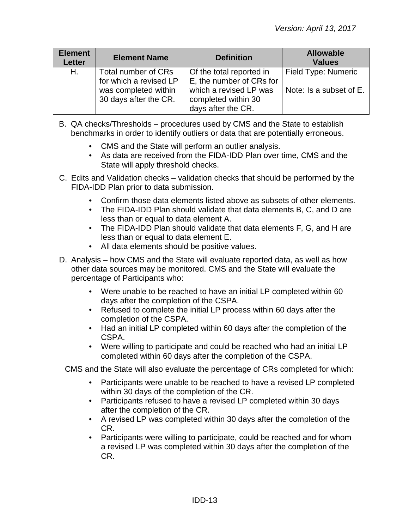| <b>Element</b><br><b>Letter</b> | <b>Element Name</b>                                                                            | <b>Definition</b>                                                                                                           | <b>Allowable</b><br><b>Values</b>              |
|---------------------------------|------------------------------------------------------------------------------------------------|-----------------------------------------------------------------------------------------------------------------------------|------------------------------------------------|
| H.                              | Total number of CRs<br>for which a revised LP<br>was completed within<br>30 days after the CR. | Of the total reported in<br>E, the number of CRs for<br>which a revised LP was<br>completed within 30<br>days after the CR. | Field Type: Numeric<br>Note: Is a subset of E. |

- B. QA checks/Thresholds procedures used by CMS and the State to establish benchmarks in order to identify outliers or data that are potentially erroneous.
	- CMS and the State will perform an outlier analysis.
	- As data are received from the FIDA-IDD Plan over time, CMS and the State will apply threshold checks.
- C. Edits and Validation checks validation checks that should be performed by the FIDA-IDD Plan prior to data submission.
	- Confirm those data elements listed above as subsets of other elements.
	- The FIDA-IDD Plan should validate that data elements B, C, and D are less than or equal to data element A.
	- The FIDA-IDD Plan should validate that data elements F, G, and H are less than or equal to data element E.
	- All data elements should be positive values.
- D. Analysis how CMS and the State will evaluate reported data, as well as how other data sources may be monitored. CMS and the State will evaluate the percentage of Participants who:
	- Were unable to be reached to have an initial LP completed within 60 days after the completion of the CSPA.
	- Refused to complete the initial LP process within 60 days after the completion of the CSPA.
	- Had an initial LP completed within 60 days after the completion of the CSPA.
	- Were willing to participate and could be reached who had an initial LP completed within 60 days after the completion of the CSPA.

CMS and the State will also evaluate the percentage of CRs completed for which:

- Participants were unable to be reached to have a revised LP completed within 30 days of the completion of the CR.
- Participants refused to have a revised LP completed within 30 days after the completion of the CR.
- A revised LP was completed within 30 days after the completion of the CR.
- Participants were willing to participate, could be reached and for whom a revised LP was completed within 30 days after the completion of the CR.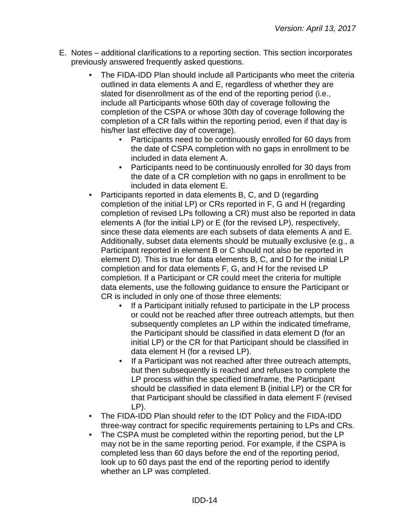- E. Notes additional clarifications to a reporting section. This section incorporates previously answered frequently asked questions.
	- The FIDA-IDD Plan should include all Participants who meet the criteria outlined in data elements A and E, regardless of whether they are slated for disenrollment as of the end of the reporting period (i.e., include all Participants whose 60th day of coverage following the completion of the CSPA or whose 30th day of coverage following the completion of a CR falls within the reporting period, even if that day is his/her last effective day of coverage).
		- Participants need to be continuously enrolled for 60 days from the date of CSPA completion with no gaps in enrollment to be included in data element A.
		- Participants need to be continuously enrolled for 30 days from the date of a CR completion with no gaps in enrollment to be included in data element E.
	- Participants reported in data elements B, C, and D (regarding completion of the initial LP) or CRs reported in F, G and H (regarding completion of revised LPs following a CR) must also be reported in data elements A (for the initial LP) or E (for the revised LP), respectively, since these data elements are each subsets of data elements A and E. Additionally, subset data elements should be mutually exclusive (e.g., a Participant reported in element B or C should not also be reported in element D). This is true for data elements B, C, and D for the initial LP completion and for data elements F, G, and H for the revised LP completion. If a Participant or CR could meet the criteria for multiple data elements, use the following guidance to ensure the Participant or CR is included in only one of those three elements:
		- If a Participant initially refused to participate in the LP process or could not be reached after three outreach attempts, but then subsequently completes an LP within the indicated timeframe, the Participant should be classified in data element D (for an initial LP) or the CR for that Participant should be classified in data element H (for a revised LP).
		- If a Participant was not reached after three outreach attempts, but then subsequently is reached and refuses to complete the LP process within the specified timeframe, the Participant should be classified in data element B (initial LP) or the CR for that Participant should be classified in data element F (revised LP).
	- The FIDA-IDD Plan should refer to the IDT Policy and the FIDA-IDD three-way contract for specific requirements pertaining to LPs and CRs.
	- The CSPA must be completed within the reporting period, but the LP may not be in the same reporting period. For example, if the CSPA is completed less than 60 days before the end of the reporting period, look up to 60 days past the end of the reporting period to identify whether an LP was completed.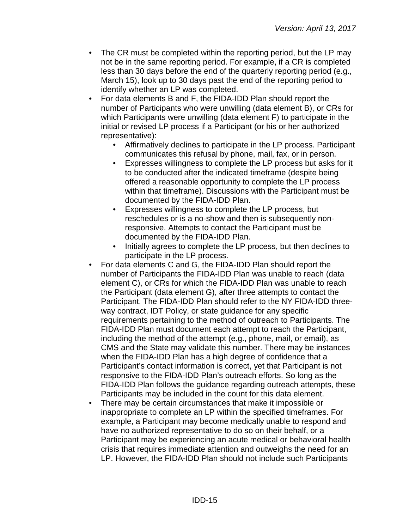- The CR must be completed within the reporting period, but the LP may not be in the same reporting period. For example, if a CR is completed less than 30 days before the end of the quarterly reporting period (e.g., March 15), look up to 30 days past the end of the reporting period to identify whether an LP was completed.
- For data elements B and F, the FIDA-IDD Plan should report the number of Participants who were unwilling (data element B), or CRs for which Participants were unwilling (data element F) to participate in the initial or revised LP process if a Participant (or his or her authorized representative):
	- Affirmatively declines to participate in the LP process. Participant communicates this refusal by phone, mail, fax, or in person.
	- Expresses willingness to complete the LP process but asks for it to be conducted after the indicated timeframe (despite being offered a reasonable opportunity to complete the LP process within that timeframe). Discussions with the Participant must be documented by the FIDA-IDD Plan.
	- Expresses willingness to complete the LP process, but reschedules or is a no-show and then is subsequently nonresponsive. Attempts to contact the Participant must be documented by the FIDA-IDD Plan.
	- Initially agrees to complete the LP process, but then declines to participate in the LP process.
- For data elements C and G, the FIDA-IDD Plan should report the number of Participants the FIDA-IDD Plan was unable to reach (data element C), or CRs for which the FIDA-IDD Plan was unable to reach the Participant (data element G), after three attempts to contact the Participant. The FIDA-IDD Plan should refer to the NY FIDA-IDD threeway contract, IDT Policy, or state guidance for any specific requirements pertaining to the method of outreach to Participants. The FIDA-IDD Plan must document each attempt to reach the Participant, including the method of the attempt (e.g., phone, mail, or email), as CMS and the State may validate this number. There may be instances when the FIDA-IDD Plan has a high degree of confidence that a Participant's contact information is correct, yet that Participant is not responsive to the FIDA-IDD Plan's outreach efforts. So long as the FIDA-IDD Plan follows the guidance regarding outreach attempts, these Participants may be included in the count for this data element.
- There may be certain circumstances that make it impossible or inappropriate to complete an LP within the specified timeframes. For example, a Participant may become medically unable to respond and have no authorized representative to do so on their behalf, or a Participant may be experiencing an acute medical or behavioral health crisis that requires immediate attention and outweighs the need for an LP. However, the FIDA-IDD Plan should not include such Participants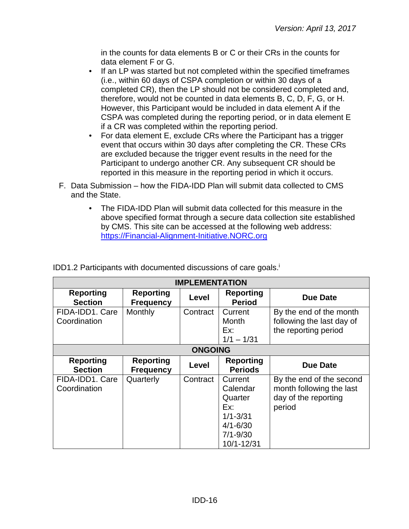in the counts for data elements B or C or their CRs in the counts for data element F or G.

- If an LP was started but not completed within the specified timeframes (i.e., within 60 days of CSPA completion or within 30 days of a completed CR), then the LP should not be considered completed and, therefore, would not be counted in data elements B, C, D, F, G, or H. However, this Participant would be included in data element A if the CSPA was completed during the reporting period, or in data element E if a CR was completed within the reporting period.
- For data element E, exclude CRs where the Participant has a trigger event that occurs within 30 days after completing the CR. These CRs are excluded because the trigger event results in the need for the Participant to undergo another CR. Any subsequent CR should be reported in this measure in the reporting period in which it occurs.
- F. Data Submission how the FIDA-IDD Plan will submit data collected to CMS and the State.
	- The FIDA-IDD Plan will submit data collected for this measure in the above specified format through a secure data collection site established by CMS. This site can be accessed at the following web address: [https://Financial-Alignment-Initiative.NORC.org](https://financial-alignment-initiative.norc.org/)

| <b>IMPLEMENTATION</b>              |                                      |          |                                                                                                     |                                                                                        |  |
|------------------------------------|--------------------------------------|----------|-----------------------------------------------------------------------------------------------------|----------------------------------------------------------------------------------------|--|
| <b>Reporting</b><br><b>Section</b> | <b>Reporting</b><br><b>Frequency</b> | Level    | <b>Reporting</b><br><b>Period</b>                                                                   | Due Date                                                                               |  |
| FIDA-IDD1. Care<br>Coordination    | Monthly                              | Contract | Current<br>Month<br>Ex:<br>$1/1 - 1/31$                                                             | By the end of the month<br>following the last day of<br>the reporting period           |  |
|                                    | <b>ONGOING</b>                       |          |                                                                                                     |                                                                                        |  |
| <b>Reporting</b><br><b>Section</b> | <b>Reporting</b><br><b>Frequency</b> | Level    | <b>Reporting</b><br><b>Periods</b>                                                                  | <b>Due Date</b>                                                                        |  |
| FIDA-IDD1. Care<br>Coordination    | Quarterly                            | Contract | Current<br>Calendar<br>Quarter<br>Ex:<br>$1/1 - 3/31$<br>$4/1 - 6/30$<br>$7/1 - 9/30$<br>10/1-12/31 | By the end of the second<br>month following the last<br>day of the reporting<br>period |  |

IDD1.2 Participants with documented discussions of care goals.<sup>1</sup>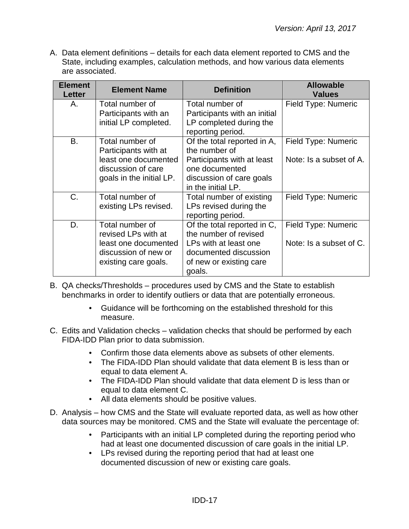| <b>Element</b><br><b>Letter</b> | <b>Element Name</b>                                                                                               | <b>Definition</b>                                                                                                                              | <b>Allowable</b><br><b>Values</b>              |
|---------------------------------|-------------------------------------------------------------------------------------------------------------------|------------------------------------------------------------------------------------------------------------------------------------------------|------------------------------------------------|
| Α.                              | Total number of<br>Participants with an<br>initial LP completed.                                                  | Total number of<br>Participants with an initial<br>LP completed during the<br>reporting period.                                                | Field Type: Numeric                            |
| B.                              | Total number of<br>Participants with at<br>least one documented<br>discussion of care<br>goals in the initial LP. | Of the total reported in A,<br>the number of<br>Participants with at least<br>one documented<br>discussion of care goals<br>in the initial LP. | Field Type: Numeric<br>Note: Is a subset of A. |
| C.                              | Total number of<br>existing LPs revised.                                                                          | Total number of existing<br>LPs revised during the<br>reporting period.                                                                        | Field Type: Numeric                            |
| D.                              | Total number of<br>revised LPs with at<br>least one documented<br>discussion of new or<br>existing care goals.    | Of the total reported in C,<br>the number of revised<br>LPs with at least one<br>documented discussion<br>of new or existing care<br>goals.    | Field Type: Numeric<br>Note: Is a subset of C. |

- B. QA checks/Thresholds procedures used by CMS and the State to establish benchmarks in order to identify outliers or data that are potentially erroneous.
	- Guidance will be forthcoming on the established threshold for this measure.
- C. Edits and Validation checks validation checks that should be performed by each FIDA-IDD Plan prior to data submission.
	- Confirm those data elements above as subsets of other elements.
	- The FIDA-IDD Plan should validate that data element B is less than or equal to data element A.
	- The FIDA-IDD Plan should validate that data element D is less than or equal to data element C.
	- All data elements should be positive values.
- D. Analysis how CMS and the State will evaluate reported data, as well as how other data sources may be monitored. CMS and the State will evaluate the percentage of:
	- Participants with an initial LP completed during the reporting period who had at least one documented discussion of care goals in the initial LP.
	- LPs revised during the reporting period that had at least one documented discussion of new or existing care goals.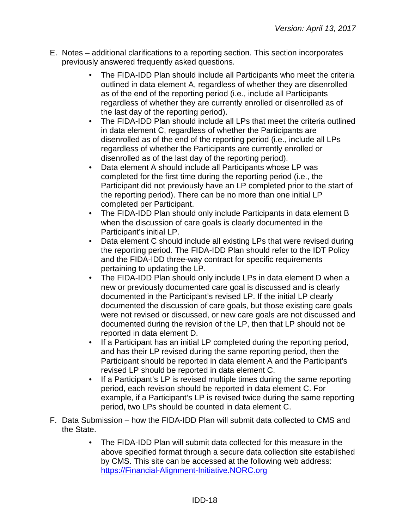- E. Notes additional clarifications to a reporting section. This section incorporates previously answered frequently asked questions.
	- The FIDA-IDD Plan should include all Participants who meet the criteria outlined in data element A, regardless of whether they are disenrolled as of the end of the reporting period (i.e., include all Participants regardless of whether they are currently enrolled or disenrolled as of the last day of the reporting period).
	- The FIDA-IDD Plan should include all LPs that meet the criteria outlined in data element C, regardless of whether the Participants are disenrolled as of the end of the reporting period (i.e., include all LPs regardless of whether the Participants are currently enrolled or disenrolled as of the last day of the reporting period).
	- Data element A should include all Participants whose LP was completed for the first time during the reporting period (i.e., the Participant did not previously have an LP completed prior to the start of the reporting period). There can be no more than one initial LP completed per Participant.
	- The FIDA-IDD Plan should only include Participants in data element B when the discussion of care goals is clearly documented in the Participant's initial LP.
	- Data element C should include all existing LPs that were revised during the reporting period. The FIDA-IDD Plan should refer to the IDT Policy and the FIDA-IDD three-way contract for specific requirements pertaining to updating the LP.
	- The FIDA-IDD Plan should only include LPs in data element D when a new or previously documented care goal is discussed and is clearly documented in the Participant's revised LP. If the initial LP clearly documented the discussion of care goals, but those existing care goals were not revised or discussed, or new care goals are not discussed and documented during the revision of the LP, then that LP should not be reported in data element D.
	- If a Participant has an initial LP completed during the reporting period, and has their LP revised during the same reporting period, then the Participant should be reported in data element A and the Participant's revised LP should be reported in data element C.
	- If a Participant's LP is revised multiple times during the same reporting period, each revision should be reported in data element C. For example, if a Participant's LP is revised twice during the same reporting period, two LPs should be counted in data element C.
- F. Data Submission how the FIDA-IDD Plan will submit data collected to CMS and the State.
	- The FIDA-IDD Plan will submit data collected for this measure in the above specified format through a secure data collection site established by CMS. This site can be accessed at the following web address: [https://Financial-Alignment-Initiative.NORC.org](https://financial-alignment-initiative.norc.org/)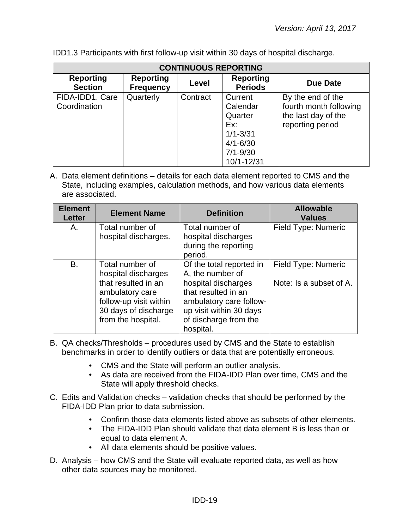| <b>CONTINUOUS REPORTING</b>        |                                      |          |                                                                                                     |                                                                                        |  |
|------------------------------------|--------------------------------------|----------|-----------------------------------------------------------------------------------------------------|----------------------------------------------------------------------------------------|--|
| <b>Reporting</b><br><b>Section</b> | <b>Reporting</b><br><b>Frequency</b> | Level    | <b>Reporting</b><br><b>Periods</b>                                                                  | Due Date                                                                               |  |
| FIDA-IDD1, Care<br>Coordination    | Quarterly                            | Contract | Current<br>Calendar<br>Quarter<br>Ex:<br>$1/1 - 3/31$<br>$4/1 - 6/30$<br>$7/1 - 9/30$<br>10/1-12/31 | By the end of the<br>fourth month following<br>the last day of the<br>reporting period |  |

IDD1.3 Participants with first follow-up visit within 30 days of hospital discharge.

| <b>Element</b><br><b>Letter</b> | <b>Element Name</b>                                                                                                                                      | <b>Definition</b>                                                                                                                                                                      | <b>Allowable</b><br><b>Values</b>              |
|---------------------------------|----------------------------------------------------------------------------------------------------------------------------------------------------------|----------------------------------------------------------------------------------------------------------------------------------------------------------------------------------------|------------------------------------------------|
| Α.                              | Total number of<br>hospital discharges.                                                                                                                  | Total number of<br>hospital discharges<br>during the reporting<br>period.                                                                                                              | Field Type: Numeric                            |
| <b>B.</b>                       | Total number of<br>hospital discharges<br>that resulted in an<br>ambulatory care<br>follow-up visit within<br>30 days of discharge<br>from the hospital. | Of the total reported in<br>A, the number of<br>hospital discharges<br>that resulted in an<br>ambulatory care follow-<br>up visit within 30 days<br>of discharge from the<br>hospital. | Field Type: Numeric<br>Note: Is a subset of A. |

- B. QA checks/Thresholds procedures used by CMS and the State to establish benchmarks in order to identify outliers or data that are potentially erroneous.
	- CMS and the State will perform an outlier analysis.
	- As data are received from the FIDA-IDD Plan over time, CMS and the State will apply threshold checks.
- C. Edits and Validation checks validation checks that should be performed by the FIDA-IDD Plan prior to data submission.
	- Confirm those data elements listed above as subsets of other elements.
	- The FIDA-IDD Plan should validate that data element B is less than or equal to data element A.
	- All data elements should be positive values.
- D. Analysis how CMS and the State will evaluate reported data, as well as how other data sources may be monitored.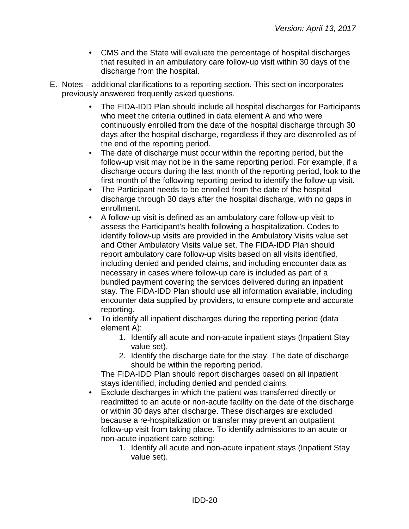- CMS and the State will evaluate the percentage of hospital discharges that resulted in an ambulatory care follow-up visit within 30 days of the discharge from the hospital.
- E. Notes additional clarifications to a reporting section. This section incorporates previously answered frequently asked questions.
	- The FIDA-IDD Plan should include all hospital discharges for Participants who meet the criteria outlined in data element A and who were continuously enrolled from the date of the hospital discharge through 30 days after the hospital discharge, regardless if they are disenrolled as of the end of the reporting period.
	- The date of discharge must occur within the reporting period, but the follow-up visit may not be in the same reporting period. For example, if a discharge occurs during the last month of the reporting period, look to the first month of the following reporting period to identify the follow-up visit.
	- The Participant needs to be enrolled from the date of the hospital discharge through 30 days after the hospital discharge, with no gaps in enrollment.
	- A follow-up visit is defined as an ambulatory care follow-up visit to assess the Participant's health following a hospitalization. Codes to identify follow-up visits are provided in the Ambulatory Visits value set and Other Ambulatory Visits value set. The FIDA-IDD Plan should report ambulatory care follow-up visits based on all visits identified, including denied and pended claims, and including encounter data as necessary in cases where follow-up care is included as part of a bundled payment covering the services delivered during an inpatient stay. The FIDA-IDD Plan should use all information available, including encounter data supplied by providers, to ensure complete and accurate reporting.
	- To identify all inpatient discharges during the reporting period (data element A):
		- 1. Identify all acute and non-acute inpatient stays (Inpatient Stay value set).
		- 2. Identify the discharge date for the stay. The date of discharge should be within the reporting period.

The FIDA-IDD Plan should report discharges based on all inpatient stays identified, including denied and pended claims.

- Exclude discharges in which the patient was transferred directly or readmitted to an acute or non-acute facility on the date of the discharge or within 30 days after discharge. These discharges are excluded because a re-hospitalization or transfer may prevent an outpatient follow-up visit from taking place. To identify admissions to an acute or non-acute inpatient care setting:
	- 1. Identify all acute and non-acute inpatient stays (Inpatient Stay value set).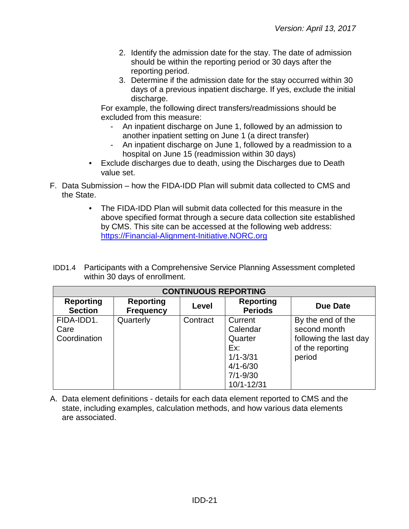- 2. Identify the admission date for the stay. The date of admission should be within the reporting period or 30 days after the reporting period.
- 3. Determine if the admission date for the stay occurred within 30 days of a previous inpatient discharge. If yes, exclude the initial discharge.

For example, the following direct transfers/readmissions should be excluded from this measure:

- An inpatient discharge on June 1, followed by an admission to another inpatient setting on June 1 (a direct transfer)
- An inpatient discharge on June 1, followed by a readmission to a hospital on June 15 (readmission within 30 days)
- Exclude discharges due to death, using the Discharges due to Death value set.
- F. Data Submission how the FIDA-IDD Plan will submit data collected to CMS and the State.
	- The FIDA-IDD Plan will submit data collected for this measure in the above specified format through a secure data collection site established by CMS. This site can be accessed at the following web address: [https://Financial-Alignment-Initiative.NORC.org](https://financial-alignment-initiative.norc.org/)
- IDD1.4 Participants with a Comprehensive Service Planning Assessment completed within 30 days of enrollment.

| <b>CONTINUOUS REPORTING</b>        |                                      |          |                                                                                                     |                                                                                           |
|------------------------------------|--------------------------------------|----------|-----------------------------------------------------------------------------------------------------|-------------------------------------------------------------------------------------------|
| <b>Reporting</b><br><b>Section</b> | <b>Reporting</b><br><b>Frequency</b> | Level    | <b>Reporting</b><br><b>Periods</b>                                                                  | <b>Due Date</b>                                                                           |
| FIDA-IDD1.<br>Care<br>Coordination | Quarterly                            | Contract | Current<br>Calendar<br>Quarter<br>Ex:<br>$1/1 - 3/31$<br>$4/1 - 6/30$<br>$7/1 - 9/30$<br>10/1-12/31 | By the end of the<br>second month<br>following the last day<br>of the reporting<br>period |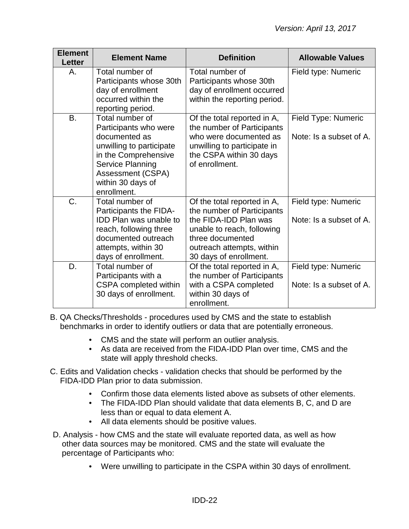| <b>Element</b><br><b>Letter</b> | <b>Element Name</b>                                                                                                                                                                        | <b>Definition</b>                                                                                                                                                                           | <b>Allowable Values</b>                        |
|---------------------------------|--------------------------------------------------------------------------------------------------------------------------------------------------------------------------------------------|---------------------------------------------------------------------------------------------------------------------------------------------------------------------------------------------|------------------------------------------------|
| Α.                              | Total number of<br>Participants whose 30th<br>day of enrollment<br>occurred within the<br>reporting period.                                                                                | Total number of<br>Participants whose 30th<br>day of enrollment occurred<br>within the reporting period.                                                                                    | Field type: Numeric                            |
| <b>B.</b>                       | Total number of<br>Participants who were<br>documented as<br>unwilling to participate<br>in the Comprehensive<br>Service Planning<br>Assessment (CSPA)<br>within 30 days of<br>enrollment. | Of the total reported in A,<br>the number of Participants<br>who were documented as<br>unwilling to participate in<br>the CSPA within 30 days<br>of enrollment.                             | Field Type: Numeric<br>Note: Is a subset of A. |
| C.                              | Total number of<br>Participants the FIDA-<br><b>IDD Plan was unable to</b><br>reach, following three<br>documented outreach<br>attempts, within 30<br>days of enrollment.                  | Of the total reported in A,<br>the number of Participants<br>the FIDA-IDD Plan was<br>unable to reach, following<br>three documented<br>outreach attempts, within<br>30 days of enrollment. | Field type: Numeric<br>Note: Is a subset of A. |
| D.                              | Total number of<br>Participants with a<br>CSPA completed within<br>30 days of enrollment.                                                                                                  | Of the total reported in A,<br>the number of Participants<br>with a CSPA completed<br>within 30 days of<br>enrollment.                                                                      | Field type: Numeric<br>Note: Is a subset of A. |

- B. QA Checks/Thresholds procedures used by CMS and the state to establish benchmarks in order to identify outliers or data that are potentially erroneous.
	- CMS and the state will perform an outlier analysis.
	- As data are received from the FIDA-IDD Plan over time, CMS and the state will apply threshold checks.
- C. Edits and Validation checks validation checks that should be performed by the FIDA-IDD Plan prior to data submission.
	- Confirm those data elements listed above as subsets of other elements.
	- The FIDA-IDD Plan should validate that data elements B, C, and D are less than or equal to data element A.
	- All data elements should be positive values.
- D. Analysis how CMS and the state will evaluate reported data, as well as how other data sources may be monitored. CMS and the state will evaluate the percentage of Participants who:
	- Were unwilling to participate in the CSPA within 30 days of enrollment.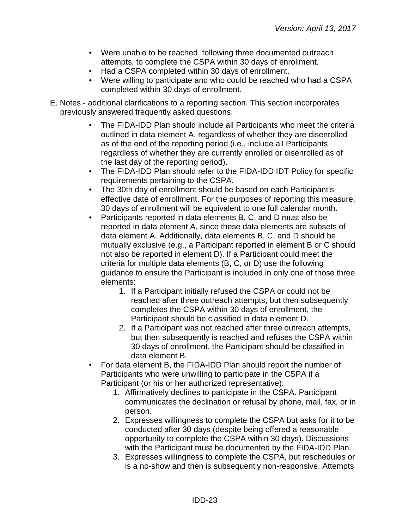- Were unable to be reached, following three documented outreach attempts, to complete the CSPA within 30 days of enrollment.
- Had a CSPA completed within 30 days of enrollment.
- Were willing to participate and who could be reached who had a CSPA completed within 30 days of enrollment.
- E. Notes additional clarifications to a reporting section. This section incorporates previously answered frequently asked questions.
	- The FIDA-IDD Plan should include all Participants who meet the criteria outlined in data element A, regardless of whether they are disenrolled as of the end of the reporting period (i.e., include all Participants regardless of whether they are currently enrolled or disenrolled as of the last day of the reporting period).
	- The FIDA-IDD Plan should refer to the FIDA-IDD IDT Policy for specific requirements pertaining to the CSPA.
	- The 30th day of enrollment should be based on each Participant's effective date of enrollment. For the purposes of reporting this measure, 30 days of enrollment will be equivalent to one full calendar month.
	- Participants reported in data elements B, C, and D must also be reported in data element A, since these data elements are subsets of data element A. Additionally, data elements B, C, and D should be mutually exclusive (e.g., a Participant reported in element B or C should not also be reported in element D). If a Participant could meet the criteria for multiple data elements (B, C, or D) use the following guidance to ensure the Participant is included in only one of those three elements:
		- 1. If a Participant initially refused the CSPA or could not be reached after three outreach attempts, but then subsequently completes the CSPA within 30 days of enrollment, the Participant should be classified in data element D.
		- 2. If a Participant was not reached after three outreach attempts, but then subsequently is reached and refuses the CSPA within 30 days of enrollment, the Participant should be classified in data element B.
	- For data element B, the FIDA-IDD Plan should report the number of Participants who were unwilling to participate in the CSPA if a Participant (or his or her authorized representative):
		- 1. Affirmatively declines to participate in the CSPA. Participant communicates the declination or refusal by phone, mail, fax, or in person.
		- 2. Expresses willingness to complete the CSPA but asks for it to be conducted after 30 days (despite being offered a reasonable opportunity to complete the CSPA within 30 days). Discussions with the Participant must be documented by the FIDA-IDD Plan.
		- 3. Expresses willingness to complete the CSPA, but reschedules or is a no-show and then is subsequently non-responsive. Attempts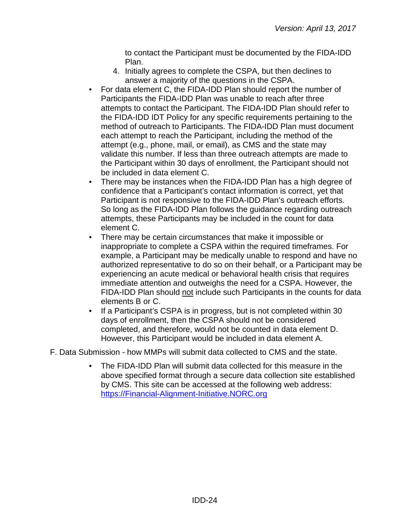to contact the Participant must be documented by the FIDA-IDD Plan.

- 4. Initially agrees to complete the CSPA, but then declines to answer a majority of the questions in the CSPA.
- For data element C, the FIDA-IDD Plan should report the number of Participants the FIDA-IDD Plan was unable to reach after three attempts to contact the Participant. The FIDA-IDD Plan should refer to the FIDA-IDD IDT Policy for any specific requirements pertaining to the method of outreach to Participants. The FIDA-IDD Plan must document each attempt to reach the Participant, including the method of the attempt (e.g., phone, mail, or email), as CMS and the state may validate this number. If less than three outreach attempts are made to the Participant within 30 days of enrollment, the Participant should not be included in data element C.
- There may be instances when the FIDA-IDD Plan has a high degree of confidence that a Participant's contact information is correct, yet that Participant is not responsive to the FIDA-IDD Plan's outreach efforts. So long as the FIDA-IDD Plan follows the guidance regarding outreach attempts, these Participants may be included in the count for data element C.
- There may be certain circumstances that make it impossible or inappropriate to complete a CSPA within the required timeframes. For example, a Participant may be medically unable to respond and have no authorized representative to do so on their behalf, or a Participant may be experiencing an acute medical or behavioral health crisis that requires immediate attention and outweighs the need for a CSPA. However, the FIDA-IDD Plan should not include such Participants in the counts for data elements B or C.
- If a Participant's CSPA is in progress, but is not completed within 30 days of enrollment, then the CSPA should not be considered completed, and therefore, would not be counted in data element D. However, this Participant would be included in data element A.
- F. Data Submission how MMPs will submit data collected to CMS and the state.
	- The FIDA-IDD Plan will submit data collected for this measure in the above specified format through a secure data collection site established by CMS. This site can be accessed at the following web address: [https://Financial-Alignment-Initiative.NORC.org](https://financial-alignment-initiative.norc.org/)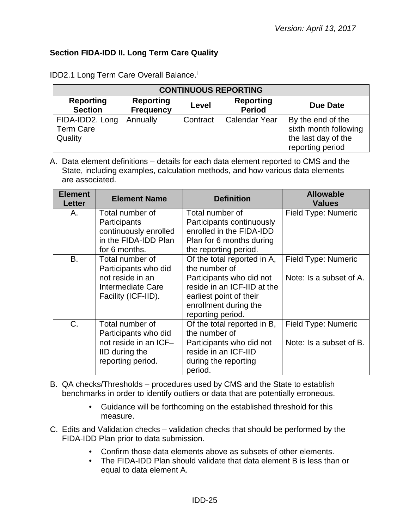## <span id="page-24-0"></span>**Section FIDA-IDD II. Long Term Care Quality**

| <b>CONTINUOUS REPORTING</b>                    |          |          |                      |                                                                                       |
|------------------------------------------------|----------|----------|----------------------|---------------------------------------------------------------------------------------|
| <b>Reporting</b><br><b>Section</b>             | Due Date |          |                      |                                                                                       |
| FIDA-IDD2. Long<br><b>Term Care</b><br>Quality | Annually | Contract | <b>Calendar Year</b> | By the end of the<br>sixth month following<br>the last day of the<br>reporting period |

IDD2.1 Long Term Care Overall Balance.<sup>i</sup>

| <b>Element</b><br><b>Letter</b> | <b>Element Name</b>                   | <b>Definition</b>                                     | <b>Allowable</b><br><b>Values</b> |
|---------------------------------|---------------------------------------|-------------------------------------------------------|-----------------------------------|
| Α.                              | Total number of                       | Total number of                                       | Field Type: Numeric               |
|                                 | Participants<br>continuously enrolled | Participants continuously<br>enrolled in the FIDA-IDD |                                   |
|                                 | in the FIDA-IDD Plan                  | Plan for 6 months during                              |                                   |
|                                 | for 6 months.                         | the reporting period.                                 |                                   |
| <b>B.</b>                       | Total number of                       | Of the total reported in A,                           | Field Type: Numeric               |
|                                 | Participants who did                  | the number of                                         |                                   |
|                                 | not reside in an                      | Participants who did not                              | Note: Is a subset of A.           |
|                                 | Intermediate Care                     | reside in an ICF-IID at the                           |                                   |
|                                 | Facility (ICF-IID).                   | earliest point of their                               |                                   |
|                                 |                                       | enrollment during the                                 |                                   |
|                                 |                                       | reporting period.                                     |                                   |
| $C_{\cdot}$                     | Total number of                       | Of the total reported in B,                           | Field Type: Numeric               |
|                                 | Participants who did                  | the number of                                         |                                   |
|                                 | not reside in an ICF-                 | Participants who did not                              | Note: Is a subset of B.           |
|                                 | IID during the                        | reside in an ICF-IID                                  |                                   |
|                                 | reporting period.                     | during the reporting                                  |                                   |
|                                 |                                       | period.                                               |                                   |

- B. QA checks/Thresholds procedures used by CMS and the State to establish benchmarks in order to identify outliers or data that are potentially erroneous.
	- Guidance will be forthcoming on the established threshold for this measure.
- C. Edits and Validation checks validation checks that should be performed by the FIDA-IDD Plan prior to data submission.
	- Confirm those data elements above as subsets of other elements.
	- The FIDA-IDD Plan should validate that data element B is less than or equal to data element A.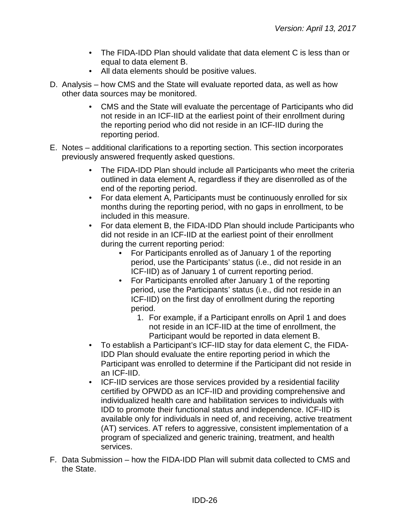- The FIDA-IDD Plan should validate that data element C is less than or equal to data element B.
- All data elements should be positive values.
- D. Analysis how CMS and the State will evaluate reported data, as well as how other data sources may be monitored.
	- CMS and the State will evaluate the percentage of Participants who did not reside in an ICF-IID at the earliest point of their enrollment during the reporting period who did not reside in an ICF-IID during the reporting period.
- E. Notes additional clarifications to a reporting section. This section incorporates previously answered frequently asked questions.
	- The FIDA-IDD Plan should include all Participants who meet the criteria outlined in data element A, regardless if they are disenrolled as of the end of the reporting period.
	- For data element A, Participants must be continuously enrolled for six months during the reporting period, with no gaps in enrollment, to be included in this measure.
	- For data element B, the FIDA-IDD Plan should include Participants who did not reside in an ICF-IID at the earliest point of their enrollment during the current reporting period:
		- For Participants enrolled as of January 1 of the reporting period, use the Participants' status (i.e., did not reside in an ICF-IID) as of January 1 of current reporting period.
		- For Participants enrolled after January 1 of the reporting period, use the Participants' status (i.e., did not reside in an ICF-IID) on the first day of enrollment during the reporting period.
			- 1. For example, if a Participant enrolls on April 1 and does not reside in an ICF-IID at the time of enrollment, the Participant would be reported in data element B.
	- To establish a Participant's ICF-IID stay for data element C, the FIDA-IDD Plan should evaluate the entire reporting period in which the Participant was enrolled to determine if the Participant did not reside in an ICF-IID.
	- ICF-IID services are those services provided by a residential facility certified by OPWDD as an ICF-IID and providing comprehensive and individualized health care and habilitation services to individuals with IDD to promote their functional status and independence. ICF-IID is available only for individuals in need of, and receiving, active treatment (AT) services. AT refers to aggressive, consistent implementation of a program of specialized and generic training, treatment, and health services.
- F. Data Submission how the FIDA-IDD Plan will submit data collected to CMS and the State.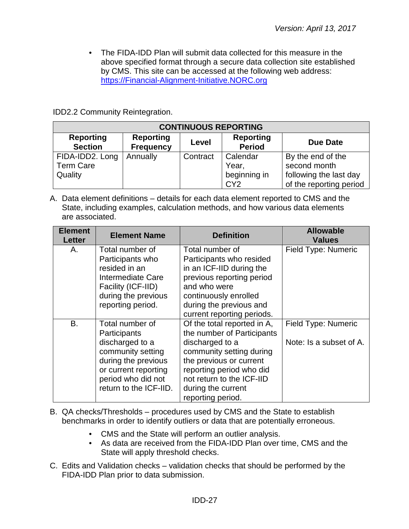• The FIDA-IDD Plan will submit data collected for this measure in the above specified format through a secure data collection site established by CMS. This site can be accessed at the following web address: [https://Financial-Alignment-Initiative.NORC.org](https://financial-alignment-initiative.norc.org/)

IDD2.2 Community Reintegration.

| <b>CONTINUOUS REPORTING</b>        |                                      |          |                                   |                         |  |
|------------------------------------|--------------------------------------|----------|-----------------------------------|-------------------------|--|
| <b>Reporting</b><br><b>Section</b> | <b>Reporting</b><br><b>Frequency</b> | Level    | <b>Reporting</b><br><b>Period</b> | Due Date                |  |
| FIDA-IDD2. Long                    | Annually                             | Contract | Calendar                          | By the end of the       |  |
| <b>Term Care</b>                   |                                      |          | Year,                             | second month            |  |
| Quality                            |                                      |          | beginning in                      | following the last day  |  |
|                                    |                                      |          | CY <sub>2</sub>                   | of the reporting period |  |

| <b>Element</b><br>Letter | <b>Element Name</b>    | <b>Definition</b>           | <b>Allowable</b><br><b>Values</b> |
|--------------------------|------------------------|-----------------------------|-----------------------------------|
| Α.                       | Total number of        | Total number of             | Field Type: Numeric               |
|                          | Participants who       | Participants who resided    |                                   |
|                          | resided in an          | in an ICF-IID during the    |                                   |
|                          | Intermediate Care      | previous reporting period   |                                   |
|                          | Facility (ICF-IID)     | and who were                |                                   |
|                          | during the previous    | continuously enrolled       |                                   |
|                          | reporting period.      | during the previous and     |                                   |
|                          |                        | current reporting periods.  |                                   |
| B.                       | Total number of        | Of the total reported in A, | Field Type: Numeric               |
|                          | Participants           | the number of Participants  |                                   |
|                          | discharged to a        | discharged to a             | Note: Is a subset of A.           |
|                          | community setting      | community setting during    |                                   |
|                          | during the previous    | the previous or current     |                                   |
|                          | or current reporting   | reporting period who did    |                                   |
|                          | period who did not     | not return to the ICF-IID   |                                   |
|                          | return to the ICF-IID. | during the current          |                                   |
|                          |                        | reporting period.           |                                   |

- B. QA checks/Thresholds procedures used by CMS and the State to establish benchmarks in order to identify outliers or data that are potentially erroneous.
	- CMS and the State will perform an outlier analysis.
	- As data are received from the FIDA-IDD Plan over time, CMS and the State will apply threshold checks.
- C. Edits and Validation checks validation checks that should be performed by the FIDA-IDD Plan prior to data submission.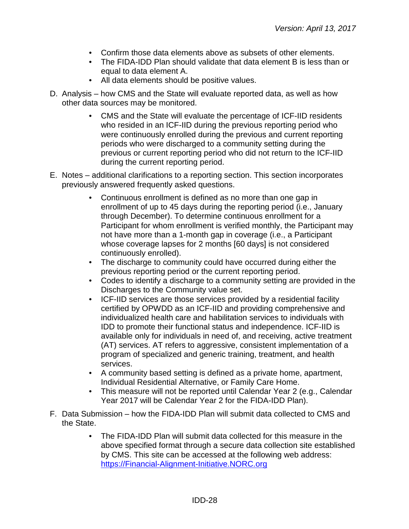- Confirm those data elements above as subsets of other elements.
- The FIDA-IDD Plan should validate that data element B is less than or equal to data element A.
- All data elements should be positive values.
- D. Analysis how CMS and the State will evaluate reported data, as well as how other data sources may be monitored.
	- CMS and the State will evaluate the percentage of ICF-IID residents who resided in an ICF-IID during the previous reporting period who were continuously enrolled during the previous and current reporting periods who were discharged to a community setting during the previous or current reporting period who did not return to the ICF-IID during the current reporting period.
- E. Notes additional clarifications to a reporting section. This section incorporates previously answered frequently asked questions.
	- Continuous enrollment is defined as no more than one gap in enrollment of up to 45 days during the reporting period (i.e., January through December). To determine continuous enrollment for a Participant for whom enrollment is verified monthly, the Participant may not have more than a 1-month gap in coverage (i.e., a Participant whose coverage lapses for 2 months [60 days] is not considered continuously enrolled).
	- The discharge to community could have occurred during either the previous reporting period or the current reporting period.
	- Codes to identify a discharge to a community setting are provided in the Discharges to the Community value set.
	- ICF-IID services are those services provided by a residential facility certified by OPWDD as an ICF-IID and providing comprehensive and individualized health care and habilitation services to individuals with IDD to promote their functional status and independence. ICF-IID is available only for individuals in need of, and receiving, active treatment (AT) services. AT refers to aggressive, consistent implementation of a program of specialized and generic training, treatment, and health services.
	- A community based setting is defined as a private home, apartment, Individual Residential Alternative, or Family Care Home.
	- This measure will not be reported until Calendar Year 2 (e.g., Calendar Year 2017 will be Calendar Year 2 for the FIDA-IDD Plan).
- F. Data Submission how the FIDA-IDD Plan will submit data collected to CMS and the State.
	- The FIDA-IDD Plan will submit data collected for this measure in the above specified format through a secure data collection site established by CMS. This site can be accessed at the following web address: [https://Financial-Alignment-Initiative.NORC.org](https://financial-alignment-initiative.norc.org/)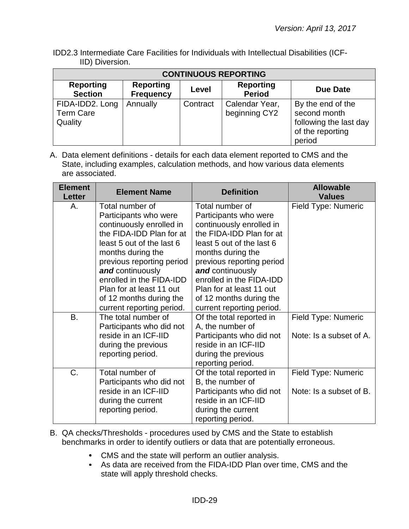IDD2.3 Intermediate Care Facilities for Individuals with Intellectual Disabilities (ICF-IID) Diversion.

| <b>CONTINUOUS REPORTING</b>                    |                                      |          |                                   |                                                                                           |  |
|------------------------------------------------|--------------------------------------|----------|-----------------------------------|-------------------------------------------------------------------------------------------|--|
| <b>Reporting</b><br><b>Section</b>             | <b>Reporting</b><br><b>Frequency</b> | Level    | <b>Reporting</b><br><b>Period</b> | <b>Due Date</b>                                                                           |  |
| FIDA-IDD2. Long<br><b>Term Care</b><br>Quality | Annually                             | Contract | Calendar Year,<br>beginning CY2   | By the end of the<br>second month<br>following the last day<br>of the reporting<br>period |  |

| <b>Element</b><br><b>Letter</b> | <b>Element Name</b>                                                                                                                                                                                                                                                                    | <b>Definition</b>                                                                                                                                                                                                                                                                      | <b>Allowable</b><br><b>Values</b>              |
|---------------------------------|----------------------------------------------------------------------------------------------------------------------------------------------------------------------------------------------------------------------------------------------------------------------------------------|----------------------------------------------------------------------------------------------------------------------------------------------------------------------------------------------------------------------------------------------------------------------------------------|------------------------------------------------|
| Α.                              | Total number of<br>Participants who were<br>continuously enrolled in<br>the FIDA-IDD Plan for at<br>least 5 out of the last 6<br>months during the<br>previous reporting period<br>and continuously<br>enrolled in the FIDA-IDD<br>Plan for at least 11 out<br>of 12 months during the | Total number of<br>Participants who were<br>continuously enrolled in<br>the FIDA-IDD Plan for at<br>least 5 out of the last 6<br>months during the<br>previous reporting period<br>and continuously<br>enrolled in the FIDA-IDD<br>Plan for at least 11 out<br>of 12 months during the | Field Type: Numeric                            |
| B.                              | current reporting period.<br>The total number of<br>Participants who did not<br>reside in an ICF-IID<br>during the previous<br>reporting period.                                                                                                                                       | current reporting period.<br>Of the total reported in<br>A, the number of<br>Participants who did not<br>reside in an ICF-IID<br>during the previous<br>reporting period.                                                                                                              | Field Type: Numeric<br>Note: Is a subset of A. |
| C.                              | Total number of<br>Participants who did not<br>reside in an ICF-IID<br>during the current<br>reporting period.                                                                                                                                                                         | Of the total reported in<br>B, the number of<br>Participants who did not<br>reside in an ICF-IID<br>during the current<br>reporting period.                                                                                                                                            | Field Type: Numeric<br>Note: Is a subset of B. |

- B. QA checks/Thresholds procedures used by CMS and the State to establish benchmarks in order to identify outliers or data that are potentially erroneous.
	- CMS and the state will perform an outlier analysis.
	- As data are received from the FIDA-IDD Plan over time, CMS and the state will apply threshold checks.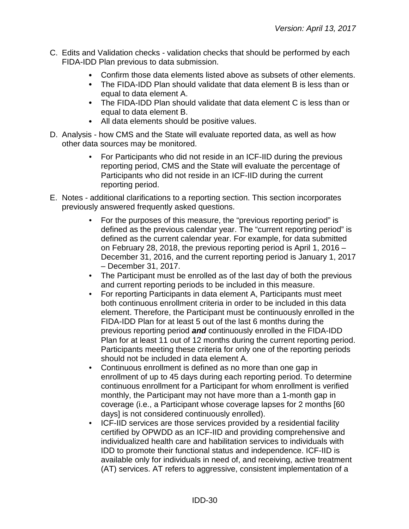- C. Edits and Validation checks validation checks that should be performed by each FIDA-IDD Plan previous to data submission.
	- Confirm those data elements listed above as subsets of other elements.
	- The FIDA-IDD Plan should validate that data element B is less than or equal to data element A.
	- The FIDA-IDD Plan should validate that data element C is less than or equal to data element B.
	- All data elements should be positive values.
- D. Analysis how CMS and the State will evaluate reported data, as well as how other data sources may be monitored.
	- For Participants who did not reside in an ICF-IID during the previous reporting period, CMS and the State will evaluate the percentage of Participants who did not reside in an ICF-IID during the current reporting period.
- E. Notes additional clarifications to a reporting section. This section incorporates previously answered frequently asked questions.
	- For the purposes of this measure, the "previous reporting period" is defined as the previous calendar year. The "current reporting period" is defined as the current calendar year. For example, for data submitted on February 28, 2018, the previous reporting period is April 1, 2016 – December 31, 2016, and the current reporting period is January 1, 2017 – December 31, 2017.
	- The Participant must be enrolled as of the last day of both the previous and current reporting periods to be included in this measure.
	- For reporting Participants in data element A, Participants must meet both continuous enrollment criteria in order to be included in this data element. Therefore, the Participant must be continuously enrolled in the FIDA-IDD Plan for at least 5 out of the last 6 months during the previous reporting period *and* continuously enrolled in the FIDA-IDD Plan for at least 11 out of 12 months during the current reporting period. Participants meeting these criteria for only one of the reporting periods should not be included in data element A.
	- Continuous enrollment is defined as no more than one gap in enrollment of up to 45 days during each reporting period. To determine continuous enrollment for a Participant for whom enrollment is verified monthly, the Participant may not have more than a 1-month gap in coverage (i.e., a Participant whose coverage lapses for 2 months [60 days] is not considered continuously enrolled).
	- ICF-IID services are those services provided by a residential facility certified by OPWDD as an ICF-IID and providing comprehensive and individualized health care and habilitation services to individuals with IDD to promote their functional status and independence. ICF-IID is available only for individuals in need of, and receiving, active treatment (AT) services. AT refers to aggressive, consistent implementation of a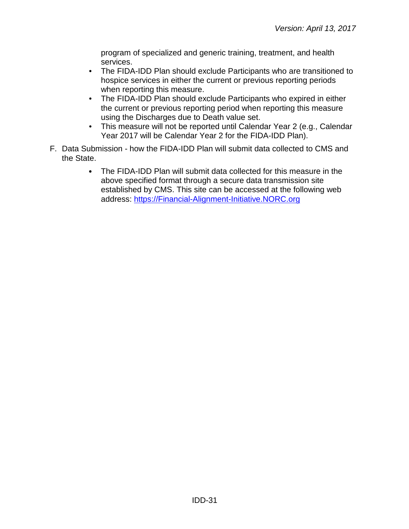program of specialized and generic training, treatment, and health services.

- The FIDA-IDD Plan should exclude Participants who are transitioned to hospice services in either the current or previous reporting periods when reporting this measure.
- The FIDA-IDD Plan should exclude Participants who expired in either the current or previous reporting period when reporting this measure using the Discharges due to Death value set.
- This measure will not be reported until Calendar Year 2 (e.g., Calendar Year 2017 will be Calendar Year 2 for the FIDA-IDD Plan).
- F. Data Submission how the FIDA-IDD Plan will submit data collected to CMS and the State.
	- The FIDA-IDD Plan will submit data collected for this measure in the above specified format through a secure data transmission site established by CMS. This site can be accessed at the following web address: [https://Financial-Alignment-Initiative.NORC.org](https://financial-alignment-initiative.norc.org/)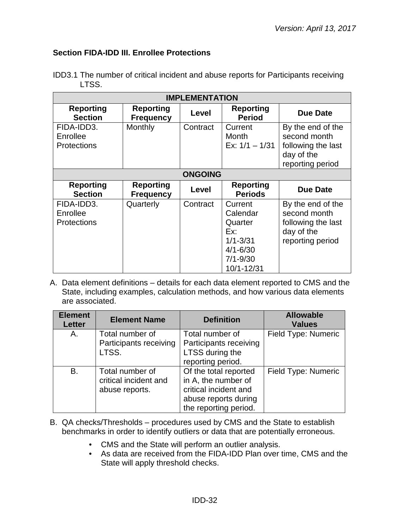## <span id="page-31-0"></span>**Section FIDA-IDD III. Enrollee Protections**

| <b>IMPLEMENTATION</b>                        |                                      |          |                                                                                                     |                                                                                           |  |
|----------------------------------------------|--------------------------------------|----------|-----------------------------------------------------------------------------------------------------|-------------------------------------------------------------------------------------------|--|
| <b>Reporting</b><br><b>Section</b>           | <b>Reporting</b><br><b>Frequency</b> | Level    | <b>Reporting</b><br><b>Period</b>                                                                   | <b>Due Date</b>                                                                           |  |
| FIDA-IDD3.<br>Enrollee<br><b>Protections</b> | Monthly                              | Contract | Current<br>Month<br>Ex: $1/1 - 1/31$                                                                | By the end of the<br>second month<br>following the last<br>day of the<br>reporting period |  |
|                                              | <b>ONGOING</b>                       |          |                                                                                                     |                                                                                           |  |
| <b>Reporting</b><br><b>Section</b>           | <b>Reporting</b><br><b>Frequency</b> | Level    | <b>Reporting</b><br><b>Periods</b>                                                                  | <b>Due Date</b>                                                                           |  |
| FIDA-IDD3.<br>Enrollee<br><b>Protections</b> | Quarterly                            | Contract | Current<br>Calendar<br>Quarter<br>Ex:<br>$1/1 - 3/31$<br>$4/1 - 6/30$<br>$7/1 - 9/30$<br>10/1-12/31 | By the end of the<br>second month<br>following the last<br>day of the<br>reporting period |  |

IDD3.1 The number of critical incident and abuse reports for Participants receiving LTSS.

| <b>Element</b><br><b>Letter</b> | <b>Element Name</b>                                        | <b>Definition</b>                                                                                                      | <b>Allowable</b><br><b>Values</b> |
|---------------------------------|------------------------------------------------------------|------------------------------------------------------------------------------------------------------------------------|-----------------------------------|
| Α.                              | Total number of<br>Participants receiving                  | Total number of<br>Participants receiving                                                                              | Field Type: Numeric               |
|                                 | LTSS.                                                      | LTSS during the<br>reporting period.                                                                                   |                                   |
| B.                              | Total number of<br>critical incident and<br>abuse reports. | Of the total reported<br>in A, the number of<br>critical incident and<br>abuse reports during<br>the reporting period. | Field Type: Numeric               |

- B. QA checks/Thresholds procedures used by CMS and the State to establish benchmarks in order to identify outliers or data that are potentially erroneous.
	- CMS and the State will perform an outlier analysis.
	- As data are received from the FIDA-IDD Plan over time, CMS and the State will apply threshold checks.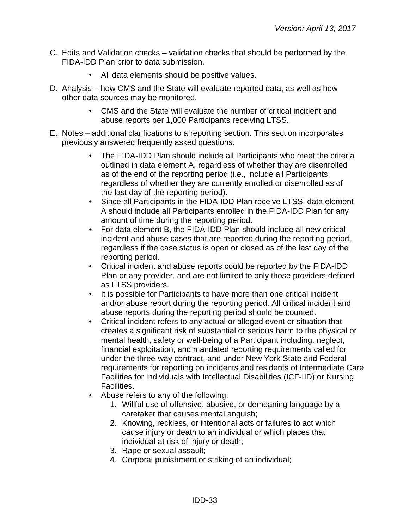- C. Edits and Validation checks validation checks that should be performed by the FIDA-IDD Plan prior to data submission.
	- All data elements should be positive values.
- D. Analysis how CMS and the State will evaluate reported data, as well as how other data sources may be monitored.
	- CMS and the State will evaluate the number of critical incident and abuse reports per 1,000 Participants receiving LTSS.
- E. Notes additional clarifications to a reporting section. This section incorporates previously answered frequently asked questions.
	- The FIDA-IDD Plan should include all Participants who meet the criteria outlined in data element A, regardless of whether they are disenrolled as of the end of the reporting period (i.e., include all Participants regardless of whether they are currently enrolled or disenrolled as of the last day of the reporting period).
	- Since all Participants in the FIDA-IDD Plan receive LTSS, data element A should include all Participants enrolled in the FIDA-IDD Plan for any amount of time during the reporting period.
	- For data element B, the FIDA-IDD Plan should include all new critical incident and abuse cases that are reported during the reporting period, regardless if the case status is open or closed as of the last day of the reporting period.
	- Critical incident and abuse reports could be reported by the FIDA-IDD Plan or any provider, and are not limited to only those providers defined as LTSS providers.
	- It is possible for Participants to have more than one critical incident and/or abuse report during the reporting period. All critical incident and abuse reports during the reporting period should be counted.
	- Critical incident refers to any actual or alleged event or situation that creates a significant risk of substantial or serious harm to the physical or mental health, safety or well-being of a Participant including, neglect, financial exploitation, and mandated reporting requirements called for under the three-way contract, and under New York State and Federal requirements for reporting on incidents and residents of Intermediate Care Facilities for Individuals with Intellectual Disabilities (ICF-IID) or Nursing Facilities.
	- Abuse refers to any of the following:
		- 1. Willful use of offensive, abusive, or demeaning language by a caretaker that causes mental anguish;
		- 2. Knowing, reckless, or intentional acts or failures to act which cause injury or death to an individual or which places that individual at risk of injury or death;
		- 3. Rape or sexual assault;
		- 4. Corporal punishment or striking of an individual;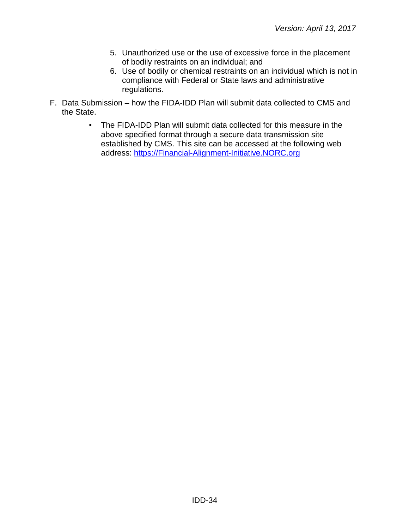- 5. Unauthorized use or the use of excessive force in the placement of bodily restraints on an individual; and
- 6. Use of bodily or chemical restraints on an individual which is not in compliance with Federal or State laws and administrative regulations.
- F. Data Submission how the FIDA-IDD Plan will submit data collected to CMS and the State.
	- The FIDA-IDD Plan will submit data collected for this measure in the above specified format through a secure data transmission site established by CMS. This site can be accessed at the following web address: [https://Financial-Alignment-Initiative.NORC.org](https://financial-alignment-initiative.norc.org/)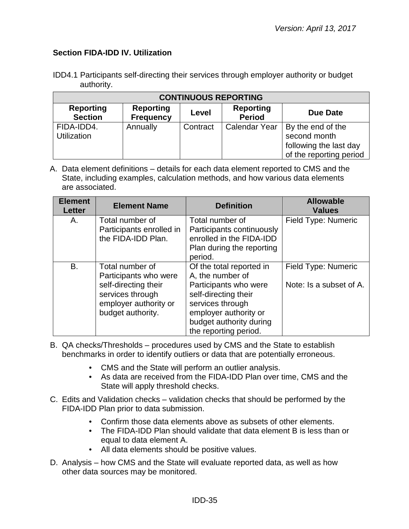## <span id="page-34-0"></span>**Section FIDA-IDD IV. Utilization**

| IDD4.1 Participants self-directing their services through employer authority or budget |  |  |  |
|----------------------------------------------------------------------------------------|--|--|--|
| authority.                                                                             |  |  |  |

| <b>CONTINUOUS REPORTING</b>        |                                      |          |                                   |                                                                                        |  |
|------------------------------------|--------------------------------------|----------|-----------------------------------|----------------------------------------------------------------------------------------|--|
| <b>Reporting</b><br><b>Section</b> | <b>Reporting</b><br><b>Frequency</b> | Level    | <b>Reporting</b><br><b>Period</b> | Due Date                                                                               |  |
| FIDA-IDD4.<br><b>Utilization</b>   | Annually                             | Contract | <b>Calendar Year</b>              | By the end of the<br>second month<br>following the last day<br>of the reporting period |  |

| <b>Element</b><br><b>Letter</b> | <b>Element Name</b>                                                                                                                | <b>Definition</b>                                                                                                                                                                              | <b>Allowable</b><br><b>Values</b>              |
|---------------------------------|------------------------------------------------------------------------------------------------------------------------------------|------------------------------------------------------------------------------------------------------------------------------------------------------------------------------------------------|------------------------------------------------|
| А.                              | Total number of<br>Participants enrolled in<br>the FIDA-IDD Plan.                                                                  | Total number of<br>Participants continuously<br>enrolled in the FIDA-IDD<br>Plan during the reporting<br>period.                                                                               | Field Type: Numeric                            |
| B.                              | Total number of<br>Participants who were<br>self-directing their<br>services through<br>employer authority or<br>budget authority. | Of the total reported in<br>A, the number of<br>Participants who were<br>self-directing their<br>services through<br>employer authority or<br>budget authority during<br>the reporting period. | Field Type: Numeric<br>Note: Is a subset of A. |

- B. QA checks/Thresholds procedures used by CMS and the State to establish benchmarks in order to identify outliers or data that are potentially erroneous.
	- CMS and the State will perform an outlier analysis.
	- As data are received from the FIDA-IDD Plan over time, CMS and the State will apply threshold checks.
- C. Edits and Validation checks validation checks that should be performed by the FIDA-IDD Plan prior to data submission.
	- Confirm those data elements above as subsets of other elements.
	- The FIDA-IDD Plan should validate that data element B is less than or equal to data element A.
	- All data elements should be positive values.
- D. Analysis how CMS and the State will evaluate reported data, as well as how other data sources may be monitored.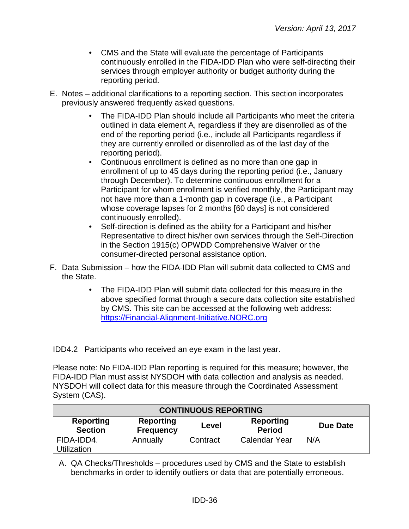- CMS and the State will evaluate the percentage of Participants continuously enrolled in the FIDA-IDD Plan who were self-directing their services through employer authority or budget authority during the reporting period.
- E. Notes additional clarifications to a reporting section. This section incorporates previously answered frequently asked questions.
	- The FIDA-IDD Plan should include all Participants who meet the criteria outlined in data element A, regardless if they are disenrolled as of the end of the reporting period (i.e., include all Participants regardless if they are currently enrolled or disenrolled as of the last day of the reporting period).
	- Continuous enrollment is defined as no more than one gap in enrollment of up to 45 days during the reporting period (i.e., January through December). To determine continuous enrollment for a Participant for whom enrollment is verified monthly, the Participant may not have more than a 1-month gap in coverage (i.e., a Participant whose coverage lapses for 2 months [60 days] is not considered continuously enrolled).
	- Self-direction is defined as the ability for a Participant and his/her Representative to direct his/her own services through the Self-Direction in the Section 1915(c) OPWDD Comprehensive Waiver or the consumer-directed personal assistance option.
- F. Data Submission how the FIDA-IDD Plan will submit data collected to CMS and the State.
	- The FIDA-IDD Plan will submit data collected for this measure in the above specified format through a secure data collection site established by CMS. This site can be accessed at the following web address: [https://Financial-Alignment-Initiative.NORC.org](https://financial-alignment-initiative.norc.org/)

IDD4.2 Participants who received an eye exam in the last year.

Please note: No FIDA-IDD Plan reporting is required for this measure; however, the FIDA-IDD Plan must assist NYSDOH with data collection and analysis as needed. NYSDOH will collect data for this measure through the Coordinated Assessment System (CAS).

| <b>CONTINUOUS REPORTING</b>                                                                                                                 |          |          |               |     |  |
|---------------------------------------------------------------------------------------------------------------------------------------------|----------|----------|---------------|-----|--|
| <b>Reporting</b><br><b>Reporting</b><br><b>Reporting</b><br><b>Due Date</b><br>Level<br><b>Section</b><br><b>Period</b><br><b>Frequency</b> |          |          |               |     |  |
| FIDA-IDD4.<br><b>Utilization</b>                                                                                                            | Annually | Contract | Calendar Year | N/A |  |

A. QA Checks/Thresholds – procedures used by CMS and the State to establish benchmarks in order to identify outliers or data that are potentially erroneous.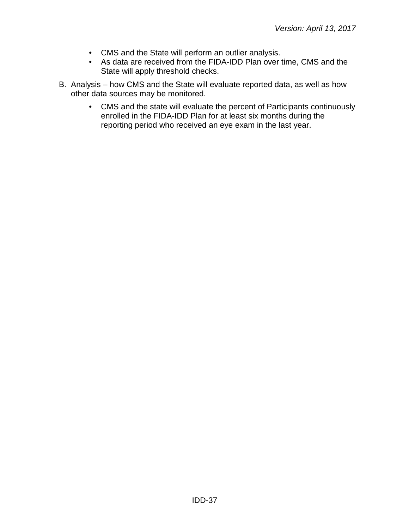- CMS and the State will perform an outlier analysis.
- As data are received from the FIDA-IDD Plan over time, CMS and the State will apply threshold checks.
- B. Analysis how CMS and the State will evaluate reported data, as well as how other data sources may be monitored.
	- CMS and the state will evaluate the percent of Participants continuously enrolled in the FIDA-IDD Plan for at least six months during the reporting period who received an eye exam in the last year.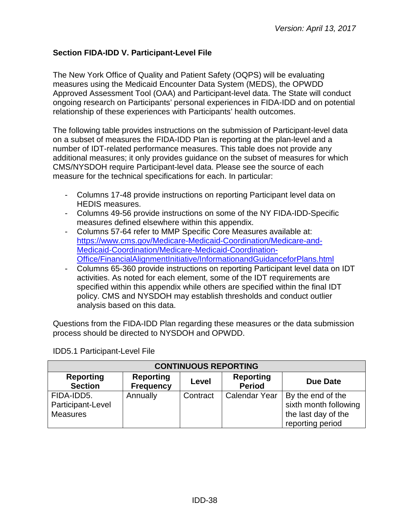## <span id="page-37-0"></span>**Section FIDA-IDD V. Participant-Level File**

The New York Office of Quality and Patient Safety (OQPS) will be evaluating measures using the Medicaid Encounter Data System (MEDS), the OPWDD Approved Assessment Tool (OAA) and Participant-level data. The State will conduct ongoing research on Participants' personal experiences in FIDA-IDD and on potential relationship of these experiences with Participants' health outcomes.

The following table provides instructions on the submission of Participant-level data on a subset of measures the FIDA-IDD Plan is reporting at the plan-level and a number of IDT-related performance measures. This table does not provide any additional measures; it only provides guidance on the subset of measures for which CMS/NYSDOH require Participant-level data. Please see the source of each measure for the technical specifications for each. In particular:

- Columns 17-48 provide instructions on reporting Participant level data on HEDIS measures.
- Columns 49-56 provide instructions on some of the NY FIDA-IDD-Specific measures defined elsewhere within this appendix.
- Columns 57-64 refer to MMP Specific Core Measures available at: [https://www.cms.gov/Medicare-Medicaid-Coordination/Medicare-and-](https://www.cms.gov/Medicare-Medicaid-Coordination/Medicare-and-Medicaid-Coordination/Medicare-Medicaid-Coordination-Office/FinancialAlignmentInitiative/InformationandGuidanceforPlans.html)[Medicaid-Coordination/Medicare-Medicaid-Coordination-](https://www.cms.gov/Medicare-Medicaid-Coordination/Medicare-and-Medicaid-Coordination/Medicare-Medicaid-Coordination-Office/FinancialAlignmentInitiative/InformationandGuidanceforPlans.html)[Office/FinancialAlignmentInitiative/InformationandGuidanceforPlans.html](https://www.cms.gov/Medicare-Medicaid-Coordination/Medicare-and-Medicaid-Coordination/Medicare-Medicaid-Coordination-Office/FinancialAlignmentInitiative/InformationandGuidanceforPlans.html)
- Columns 65-360 provide instructions on reporting Participant level data on IDT activities. As noted for each element, some of the IDT requirements are specified within this appendix while others are specified within the final IDT policy. CMS and NYSDOH may establish thresholds and conduct outlier analysis based on this data.

Questions from the FIDA-IDD Plan regarding these measures or the data submission process should be directed to NYSDOH and OPWDD.

| <b>CONTINUOUS REPORTING</b>                        |                                      |          |                                   |                                                                                       |  |
|----------------------------------------------------|--------------------------------------|----------|-----------------------------------|---------------------------------------------------------------------------------------|--|
| <b>Reporting</b><br><b>Section</b>                 | <b>Reporting</b><br><b>Frequency</b> | Level    | <b>Reporting</b><br><b>Period</b> | Due Date                                                                              |  |
| FIDA-IDD5.<br>Participant-Level<br><b>Measures</b> | Annually                             | Contract | <b>Calendar Year</b>              | By the end of the<br>sixth month following<br>the last day of the<br>reporting period |  |

IDD5.1 Participant-Level File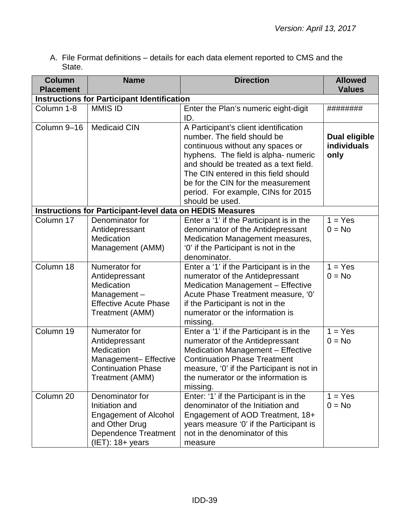A. File Format definitions – details for each data element reported to CMS and the State.

| <b>Column</b>    | <b>Name</b>                                                                                                                              | <b>Direction</b>                                                                                                                                                                                                                                                                                                                  | <b>Allowed</b>                              |  |  |
|------------------|------------------------------------------------------------------------------------------------------------------------------------------|-----------------------------------------------------------------------------------------------------------------------------------------------------------------------------------------------------------------------------------------------------------------------------------------------------------------------------------|---------------------------------------------|--|--|
| <b>Placement</b> |                                                                                                                                          |                                                                                                                                                                                                                                                                                                                                   | <b>Values</b>                               |  |  |
|                  | <b>Instructions for Participant Identification</b>                                                                                       |                                                                                                                                                                                                                                                                                                                                   |                                             |  |  |
| Column 1-8       | <b>MMIS ID</b>                                                                                                                           | Enter the Plan's numeric eight-digit<br>ID.                                                                                                                                                                                                                                                                                       | ########                                    |  |  |
| Column 9-16      | <b>Medicaid CIN</b>                                                                                                                      | A Participant's client identification<br>number. The field should be<br>continuous without any spaces or<br>hyphens. The field is alpha- numeric<br>and should be treated as a text field.<br>The CIN entered in this field should<br>be for the CIN for the measurement<br>period. For example, CINs for 2015<br>should be used. | <b>Dual eligible</b><br>individuals<br>only |  |  |
|                  | <b>Instructions for Participant-level data on HEDIS Measures</b>                                                                         |                                                                                                                                                                                                                                                                                                                                   |                                             |  |  |
| Column 17        | Denominator for<br>Antidepressant<br>Medication<br>Management (AMM)                                                                      | Enter a '1' if the Participant is in the<br>denominator of the Antidepressant<br>Medication Management measures,<br>'0' if the Participant is not in the<br>denominator.                                                                                                                                                          | $1 = Yes$<br>$0 = No$                       |  |  |
| Column 18        | Numerator for<br>Antidepressant<br>Medication<br>Management-<br><b>Effective Acute Phase</b><br>Treatment (AMM)                          | Enter a '1' if the Participant is in the<br>numerator of the Antidepressant<br><b>Medication Management - Effective</b><br>Acute Phase Treatment measure, '0'<br>if the Participant is not in the<br>numerator or the information is<br>missing.                                                                                  | $1 = Yes$<br>$0 = No$                       |  |  |
| Column 19        | Numerator for<br>Antidepressant<br>Medication<br>Management- Effective<br><b>Continuation Phase</b><br>Treatment (AMM)                   | Enter a '1' if the Participant is in the<br>numerator of the Antidepressant<br><b>Medication Management - Effective</b><br><b>Continuation Phase Treatment</b><br>measure, '0' if the Participant is not in<br>the numerator or the information is<br>missing.                                                                    | $1 = Yes$<br>$0 = No$                       |  |  |
| Column 20        | Denominator for<br>Initiation and<br><b>Engagement of Alcohol</b><br>and Other Drug<br><b>Dependence Treatment</b><br>$(IET): 18+ years$ | Enter: '1' if the Participant is in the<br>denominator of the Initiation and<br>Engagement of AOD Treatment, 18+<br>years measure '0' if the Participant is<br>not in the denominator of this<br>measure                                                                                                                          | $1 = Yes$<br>$0 = No$                       |  |  |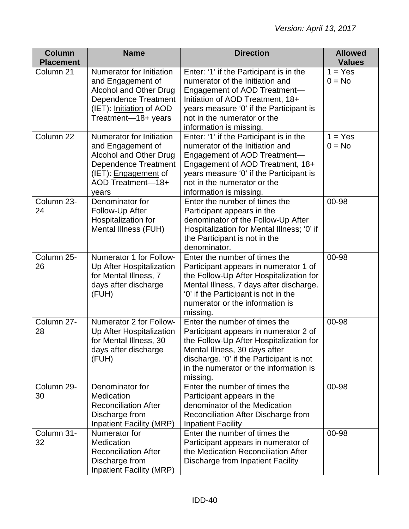| <b>Column</b><br><b>Placement</b> | <b>Name</b>                                                                                                                                                             | <b>Direction</b>                                                                                                                                                                                                                                     | <b>Allowed</b><br><b>Values</b> |
|-----------------------------------|-------------------------------------------------------------------------------------------------------------------------------------------------------------------------|------------------------------------------------------------------------------------------------------------------------------------------------------------------------------------------------------------------------------------------------------|---------------------------------|
| Column 21                         | <b>Numerator for Initiation</b><br>and Engagement of<br><b>Alcohol and Other Drug</b><br><b>Dependence Treatment</b><br>(IET): Initiation of AOD<br>Treatment-18+ years | Enter: '1' if the Participant is in the<br>numerator of the Initiation and<br>Engagement of AOD Treatment-<br>Initiation of AOD Treatment, 18+<br>years measure '0' if the Participant is<br>not in the numerator or the<br>information is missing.  | $1 = Yes$<br>$0 = No$           |
| Column 22                         | Numerator for Initiation<br>and Engagement of<br>Alcohol and Other Drug<br><b>Dependence Treatment</b><br>(IET): <b>Engagement</b> of<br>AOD Treatment-18+<br>years     | Enter: '1' if the Participant is in the<br>numerator of the Initiation and<br>Engagement of AOD Treatment-<br>Engagement of AOD Treatment, 18+<br>years measure '0' if the Participant is<br>not in the numerator or the<br>information is missing.  | $1 = Yes$<br>$0 = No$           |
| Column 23-<br>24                  | Denominator for<br>Follow-Up After<br>Hospitalization for<br>Mental Illness (FUH)                                                                                       | Enter the number of times the<br>Participant appears in the<br>denominator of the Follow-Up After<br>Hospitalization for Mental Illness; '0' if<br>the Participant is not in the<br>denominator.                                                     | 00-98                           |
| Column 25-<br>26                  | Numerator 1 for Follow-<br>Up After Hospitalization<br>for Mental Illness, 7<br>days after discharge<br>(FUH)                                                           | Enter the number of times the<br>Participant appears in numerator 1 of<br>the Follow-Up After Hospitalization for<br>Mental Illness, 7 days after discharge.<br>'0' if the Participant is not in the<br>numerator or the information is<br>missing.  | 00-98                           |
| Column 27-<br>28                  | Numerator 2 for Follow-<br>Up After Hospitalization<br>for Mental Illness, 30<br>days after discharge<br>(FUH)                                                          | Enter the number of times the<br>Participant appears in numerator 2 of<br>the Follow-Up After Hospitalization for<br>Mental Illness, 30 days after<br>discharge. '0' if the Participant is not<br>in the numerator or the information is<br>missing. | 00-98                           |
| Column 29-<br>30                  | Denominator for<br><b>Medication</b><br><b>Reconciliation After</b><br>Discharge from<br><b>Inpatient Facility (MRP)</b>                                                | Enter the number of times the<br>Participant appears in the<br>denominator of the Medication<br>Reconciliation After Discharge from<br><b>Inpatient Facility</b>                                                                                     | 00-98                           |
| Column 31-<br>32                  | Numerator for<br>Medication<br><b>Reconciliation After</b><br>Discharge from<br><b>Inpatient Facility (MRP)</b>                                                         | Enter the number of times the<br>Participant appears in numerator of<br>the Medication Reconciliation After<br>Discharge from Inpatient Facility                                                                                                     | 00-98                           |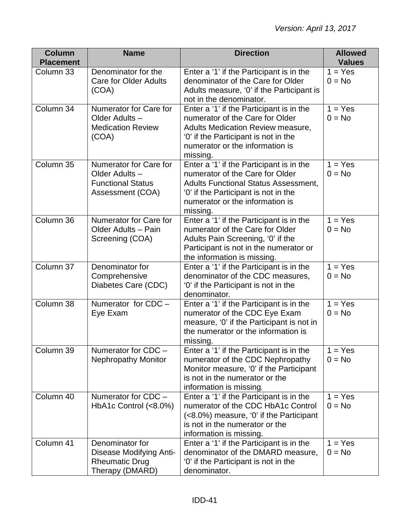| <b>Column</b><br><b>Placement</b> | <b>Name</b>                                                                             | <b>Direction</b>                                                                                                                                                                                                  | <b>Allowed</b><br><b>Values</b>  |
|-----------------------------------|-----------------------------------------------------------------------------------------|-------------------------------------------------------------------------------------------------------------------------------------------------------------------------------------------------------------------|----------------------------------|
| Column 33                         | Denominator for the<br><b>Care for Older Adults</b><br>(COA)                            | Enter a '1' if the Participant is in the<br>denominator of the Care for Older<br>Adults measure, '0' if the Participant is<br>not in the denominator.                                                             | $1 = Yes$<br>$0 = No$            |
| Column 34                         | Numerator for Care for<br>Older Adults-<br><b>Medication Review</b><br>(COA)            | Enter a '1' if the Participant is in the<br>numerator of the Care for Older<br>Adults Medication Review measure,<br>'0' if the Participant is not in the<br>numerator or the information is<br>missing.           | $1 = Yes$<br>$0 = No$            |
| Column 35                         | Numerator for Care for<br>Older Adults-<br><b>Functional Status</b><br>Assessment (COA) | Enter a '1' if the Participant is in the<br>numerator of the Care for Older<br><b>Adults Functional Status Assessment,</b><br>'0' if the Participant is not in the<br>numerator or the information is<br>missing. | $1 = Yes$<br>$0 = No$            |
| Column 36                         | Numerator for Care for<br>Older Adults - Pain<br>Screening (COA)                        | Enter a '1' if the Participant is in the<br>numerator of the Care for Older<br>Adults Pain Screening, '0' if the<br>Participant is not in the numerator or<br>the information is missing.                         | $1 = Yes$<br>$0 = No$            |
| Column 37                         | Denominator for<br>Comprehensive<br>Diabetes Care (CDC)                                 | Enter a '1' if the Participant is in the<br>denominator of the CDC measures,<br>'0' if the Participant is not in the<br>denominator.                                                                              | $1 = Yes$<br>$0 = No$            |
| Column 38                         | Numerator for $CDC -$<br>Eye Exam                                                       | Enter a '1' if the Participant is in the<br>numerator of the CDC Eye Exam<br>measure, '0' if the Participant is not in<br>the numerator or the information is<br>missing.                                         | $\overline{1}$ = Yes<br>$0 = No$ |
| Column 39                         | Numerator for CDC -<br><b>Nephropathy Monitor</b>                                       | Enter a '1' if the Participant is in the<br>numerator of the CDC Nephropathy<br>Monitor measure, '0' if the Participant<br>is not in the numerator or the<br>information is missing.                              | $1 = Yes$<br>$0 = No$            |
| Column 40                         | Numerator for CDC -<br>HbA1c Control (<8.0%)                                            | Enter a '1' if the Participant is in the<br>numerator of the CDC HbA1c Control<br>(<8.0%) measure, '0' if the Participant<br>is not in the numerator or the<br>information is missing.                            | $1 = Yes$<br>$0 = No$            |
| Column 41                         | Denominator for<br>Disease Modifying Anti-<br><b>Rheumatic Drug</b><br>Therapy (DMARD)  | Enter a '1' if the Participant is in the<br>denominator of the DMARD measure,<br>'0' if the Participant is not in the<br>denominator.                                                                             | $\overline{1}$ = Yes<br>$0 = No$ |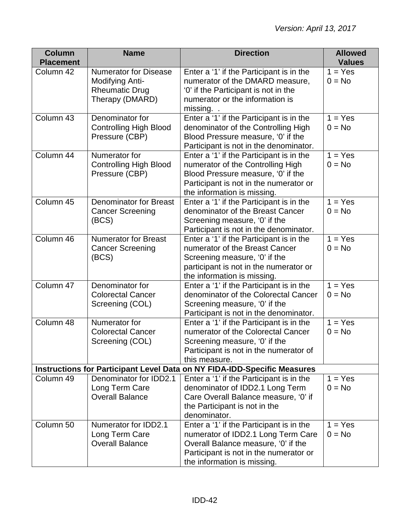| <b>Column</b>    | <b>Name</b>                   | <b>Direction</b>                                                                          | <b>Allowed</b> |
|------------------|-------------------------------|-------------------------------------------------------------------------------------------|----------------|
| <b>Placement</b> |                               |                                                                                           | <b>Values</b>  |
| Column 42        | <b>Numerator for Disease</b>  | Enter a '1' if the Participant is in the                                                  | $1 = Yes$      |
|                  | Modifying Anti-               | numerator of the DMARD measure,                                                           | $0 = No$       |
|                  | <b>Rheumatic Drug</b>         | '0' if the Participant is not in the                                                      |                |
|                  | Therapy (DMARD)               | numerator or the information is                                                           |                |
| Column 43        | Denominator for               | missing. .                                                                                | $1 = Yes$      |
|                  | <b>Controlling High Blood</b> | Enter a '1' if the Participant is in the<br>denominator of the Controlling High           | $0 = No$       |
|                  | Pressure (CBP)                | Blood Pressure measure, '0' if the                                                        |                |
|                  |                               | Participant is not in the denominator.                                                    |                |
| Column 44        | Numerator for                 | Enter a '1' if the Participant is in the                                                  | $1 = Yes$      |
|                  | <b>Controlling High Blood</b> | numerator of the Controlling High                                                         | $0 = No$       |
|                  | Pressure (CBP)                | Blood Pressure measure, '0' if the                                                        |                |
|                  |                               | Participant is not in the numerator or                                                    |                |
|                  |                               | the information is missing.                                                               |                |
| Column 45        | <b>Denominator for Breast</b> | Enter a '1' if the Participant is in the                                                  | $1 = Yes$      |
|                  | <b>Cancer Screening</b>       | denominator of the Breast Cancer                                                          | $0 = No$       |
|                  | (BCS)                         | Screening measure, '0' if the                                                             |                |
|                  |                               | Participant is not in the denominator.                                                    |                |
| Column 46        | <b>Numerator for Breast</b>   | Enter a '1' if the Participant is in the                                                  | $1 = Yes$      |
|                  | <b>Cancer Screening</b>       | numerator of the Breast Cancer                                                            | $0 = No$       |
|                  | (BCS)                         | Screening measure, '0' if the                                                             |                |
|                  |                               | participant is not in the numerator or                                                    |                |
|                  |                               | the information is missing.                                                               |                |
| Column 47        | Denominator for               | Enter a '1' if the Participant is in the                                                  | $1 = Yes$      |
|                  | <b>Colorectal Cancer</b>      | denominator of the Colorectal Cancer                                                      | $0 = No$       |
|                  | Screening (COL)               | Screening measure, '0' if the                                                             |                |
|                  |                               | Participant is not in the denominator.                                                    |                |
| Column 48        | Numerator for                 | Enter a '1' if the Participant is in the                                                  | $1 = Yes$      |
|                  | <b>Colorectal Cancer</b>      | numerator of the Colorectal Cancer                                                        | $0 = No$       |
|                  | Screening (COL)               | Screening measure, '0' if the                                                             |                |
|                  |                               | Participant is not in the numerator of                                                    |                |
|                  |                               | this measure.<br>Instructions for Participant Level Data on NY FIDA-IDD-Specific Measures |                |
| Column 49        | Denominator for IDD2.1        | Enter a '1' if the Participant is in the                                                  | $1 = Yes$      |
|                  | Long Term Care                | denominator of IDD2.1 Long Term                                                           | $0 = No$       |
|                  | <b>Overall Balance</b>        | Care Overall Balance measure, '0' if                                                      |                |
|                  |                               | the Participant is not in the                                                             |                |
|                  |                               | denominator.                                                                              |                |
| Column 50        | Numerator for IDD2.1          | Enter a '1' if the Participant is in the                                                  | $1 = Yes$      |
|                  | Long Term Care                | numerator of IDD2.1 Long Term Care                                                        | $0 = No$       |
|                  | <b>Overall Balance</b>        | Overall Balance measure, '0' if the                                                       |                |
|                  |                               | Participant is not in the numerator or                                                    |                |
|                  |                               | the information is missing.                                                               |                |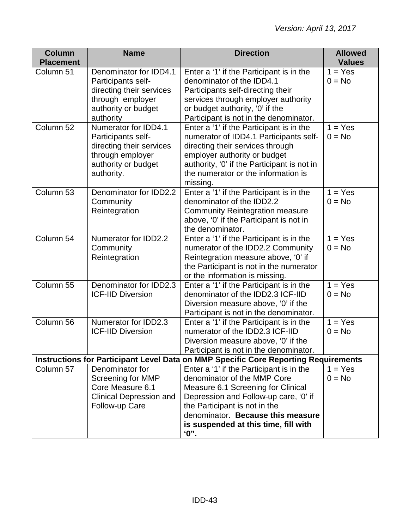| <b>Column</b>                                                                       | <b>Name</b>                                                                                                                      | <b>Direction</b>                                                                                                                                                                                                                                                              | <b>Allowed</b>                   |  |
|-------------------------------------------------------------------------------------|----------------------------------------------------------------------------------------------------------------------------------|-------------------------------------------------------------------------------------------------------------------------------------------------------------------------------------------------------------------------------------------------------------------------------|----------------------------------|--|
| <b>Placement</b>                                                                    |                                                                                                                                  |                                                                                                                                                                                                                                                                               | <b>Values</b>                    |  |
| Column 51                                                                           | Denominator for IDD4.1<br>Participants self-<br>directing their services<br>through employer<br>authority or budget<br>authority | Enter a '1' if the Participant is in the<br>denominator of the IDD4.1<br>Participants self-directing their<br>services through employer authority<br>or budget authority, '0' if the<br>Participant is not in the denominator.                                                | $1 = Yes$<br>$0 = No$            |  |
| Column 52                                                                           | Numerator for IDD4.1<br>Participants self-<br>directing their services<br>through employer<br>authority or budget<br>authority.  | Enter a '1' if the Participant is in the<br>numerator of IDD4.1 Participants self-<br>directing their services through<br>employer authority or budget<br>authority, '0' if the Participant is not in<br>the numerator or the information is<br>missing.                      | $\overline{1}$ = Yes<br>$0 = No$ |  |
| Column <sub>53</sub>                                                                | Denominator for IDD2.2<br>Community<br>Reintegration                                                                             | Enter a '1' if the Participant is in the<br>denominator of the IDD2.2<br><b>Community Reintegration measure</b><br>above, '0' if the Participant is not in<br>the denominator.                                                                                                | $1 = Yes$<br>$0 = No$            |  |
| Column 54                                                                           | <b>Numerator for IDD2.2</b><br>Community<br>Reintegration                                                                        | Enter a '1' if the Participant is in the<br>numerator of the IDD2.2 Community<br>Reintegration measure above, '0' if<br>the Participant is not in the numerator<br>or the information is missing.                                                                             | $1 = Yes$<br>$0 = No$            |  |
| Column 55                                                                           | Denominator for IDD2.3<br><b>ICF-IID Diversion</b>                                                                               | Enter a '1' if the Participant is in the<br>denominator of the IDD2.3 ICF-IID<br>Diversion measure above, '0' if the<br>Participant is not in the denominator.                                                                                                                | $1 = Yes$<br>$0 = No$            |  |
| Column 56                                                                           | Numerator for IDD2.3<br><b>ICF-IID Diversion</b>                                                                                 | Enter a '1' if the Participant is in the<br>numerator of the IDD2.3 ICF-IID<br>Diversion measure above, '0' if the<br>Participant is not in the denominator.                                                                                                                  | $1 = Yes$<br>$0 = No$            |  |
| Instructions for Participant Level Data on MMP Specific Core Reporting Requirements |                                                                                                                                  |                                                                                                                                                                                                                                                                               |                                  |  |
| Column 57                                                                           | Denominator for<br>Screening for MMP<br>Core Measure 6.1<br><b>Clinical Depression and</b><br>Follow-up Care                     | Enter a '1' if the Participant is in the<br>denominator of the MMP Core<br>Measure 6.1 Screening for Clinical<br>Depression and Follow-up care, '0' if<br>the Participant is not in the<br>denominator. Because this measure<br>is suspended at this time, fill with<br>$"$ . | $1 = Yes$<br>$0 = No$            |  |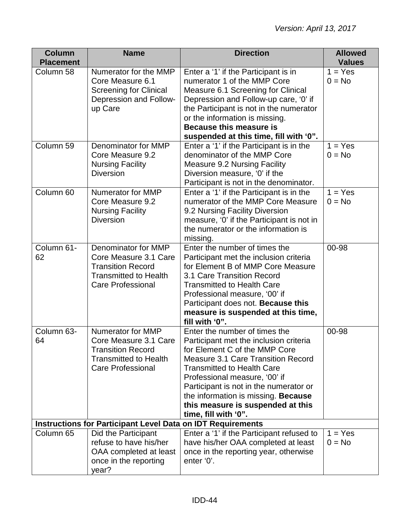| <b>Column</b><br><b>Placement</b> | <b>Name</b>                                                                                                                               | <b>Direction</b>                                                                                                                                                                                                                                                                                                                                                          | <b>Allowed</b><br><b>Values</b> |
|-----------------------------------|-------------------------------------------------------------------------------------------------------------------------------------------|---------------------------------------------------------------------------------------------------------------------------------------------------------------------------------------------------------------------------------------------------------------------------------------------------------------------------------------------------------------------------|---------------------------------|
| Column 58                         | Numerator for the MMP<br>Core Measure 6.1<br><b>Screening for Clinical</b><br>Depression and Follow-<br>up Care                           | Enter a '1' if the Participant is in<br>numerator 1 of the MMP Core<br>Measure 6.1 Screening for Clinical<br>Depression and Follow-up care, '0' if<br>the Participant is not in the numerator<br>or the information is missing.<br>Because this measure is<br>suspended at this time, fill with '0".                                                                      | $1 = Yes$<br>$0 = No$           |
| Column 59                         | Denominator for MMP<br>Core Measure 9.2<br><b>Nursing Facility</b><br><b>Diversion</b>                                                    | Enter a '1' if the Participant is in the<br>denominator of the MMP Core<br><b>Measure 9.2 Nursing Facility</b><br>Diversion measure, '0' if the<br>Participant is not in the denominator.                                                                                                                                                                                 | $1 = Yes$<br>$0 = No$           |
| Column 60                         | Numerator for MMP<br>Core Measure 9.2<br><b>Nursing Facility</b><br><b>Diversion</b>                                                      | Enter a '1' if the Participant is in the<br>numerator of the MMP Core Measure<br>9.2 Nursing Facility Diversion<br>measure, '0' if the Participant is not in<br>the numerator or the information is<br>missing.                                                                                                                                                           | $1 = Yes$<br>$0 = No$           |
| Column 61-<br>62                  | Denominator for MMP<br>Core Measure 3.1 Care<br><b>Transition Record</b><br><b>Transmitted to Health</b><br><b>Care Professional</b>      | Enter the number of times the<br>Participant met the inclusion criteria<br>for Element B of MMP Core Measure<br>3.1 Care Transition Record<br><b>Transmitted to Health Care</b><br>Professional measure, '00' if<br>Participant does not. Because this<br>measure is suspended at this time,<br>fill with '0".                                                            | 00-98                           |
| Column 63-<br>64                  | <b>Numerator for MMP</b><br>Core Measure 3.1 Care<br><b>Transition Record</b><br><b>Transmitted to Health</b><br><b>Care Professional</b> | Enter the number of times the<br>Participant met the inclusion criteria<br>for Element C of the MMP Core<br><b>Measure 3.1 Care Transition Record</b><br><b>Transmitted to Health Care</b><br>Professional measure, '00' if<br>Participant is not in the numerator or<br>the information is missing. Because<br>this measure is suspended at this<br>time, fill with '0". | 00-98                           |
|                                   | <b>Instructions for Participant Level Data on IDT Requirements</b>                                                                        |                                                                                                                                                                                                                                                                                                                                                                           |                                 |
| Column 65                         | Did the Participant<br>refuse to have his/her<br>OAA completed at least<br>once in the reporting<br>year?                                 | Enter a '1' if the Participant refused to<br>have his/her OAA completed at least<br>once in the reporting year, otherwise<br>enter '0'.                                                                                                                                                                                                                                   | $1 = Yes$<br>$0 = No$           |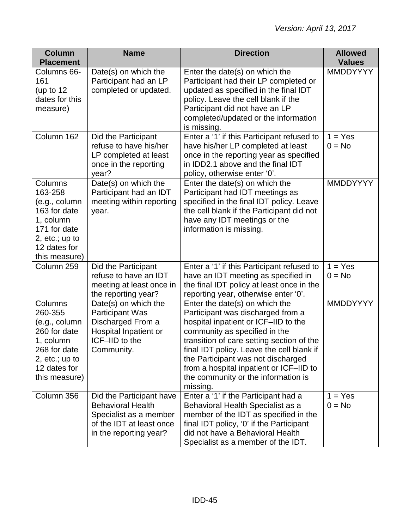| <b>Column</b><br><b>Placement</b>                                                                                                     | <b>Name</b>                                                                                                                          | <b>Direction</b>                                                                                                                                                                                                                                                                                                                                                           | <b>Allowed</b><br><b>Values</b> |
|---------------------------------------------------------------------------------------------------------------------------------------|--------------------------------------------------------------------------------------------------------------------------------------|----------------------------------------------------------------------------------------------------------------------------------------------------------------------------------------------------------------------------------------------------------------------------------------------------------------------------------------------------------------------------|---------------------------------|
| Columns 66-<br>161<br>(up to $12$<br>dates for this<br>measure)                                                                       | Date(s) on which the<br>Participant had an LP<br>completed or updated.                                                               | Enter the date(s) on which the<br>Participant had their LP completed or<br>updated as specified in the final IDT<br>policy. Leave the cell blank if the<br>Participant did not have an LP<br>completed/updated or the information<br>is missing.                                                                                                                           | <b>MMDDYYYY</b>                 |
| Column 162                                                                                                                            | Did the Participant<br>refuse to have his/her<br>LP completed at least<br>once in the reporting<br>year?                             | Enter a '1' if this Participant refused to<br>have his/her LP completed at least<br>once in the reporting year as specified<br>in IDD2.1 above and the final IDT<br>policy, otherwise enter '0'.                                                                                                                                                                           | $1 = Yes$<br>$0 = No$           |
| Columns<br>163-258<br>(e.g., column<br>163 for date<br>1, column<br>171 for date<br>2, $etc.; up to$<br>12 dates for<br>this measure) | Date(s) on which the<br>Participant had an IDT<br>meeting within reporting<br>year.                                                  | Enter the date(s) on which the<br>Participant had IDT meetings as<br>specified in the final IDT policy. Leave<br>the cell blank if the Participant did not<br>have any IDT meetings or the<br>information is missing.                                                                                                                                                      | <b>MMDDYYYY</b>                 |
| Column 259                                                                                                                            | Did the Participant<br>refuse to have an IDT<br>meeting at least once in<br>the reporting year?                                      | Enter a '1' if this Participant refused to<br>have an IDT meeting as specified in<br>the final IDT policy at least once in the<br>reporting year, otherwise enter '0'.                                                                                                                                                                                                     | $1 = Yes$<br>$0 = No$           |
| Columns<br>260-355<br>(e.g., column<br>260 for date<br>1, column<br>268 for date<br>2, $etc.; up to$<br>12 dates for<br>this measure) | Date(s) on which the<br><b>Participant Was</b><br>Discharged From a<br>Hospital Inpatient or<br>ICF-IID to the<br>Community.         | Enter the date(s) on which the<br>Participant was discharged from a<br>hospital inpatient or ICF-IID to the<br>community as specified in the<br>transition of care setting section of the<br>final IDT policy. Leave the cell blank if<br>the Participant was not discharged<br>from a hospital inpatient or ICF-IID to<br>the community or the information is<br>missing. | MMDDYYYY                        |
| Column 356                                                                                                                            | Did the Participant have<br><b>Behavioral Health</b><br>Specialist as a member<br>of the IDT at least once<br>in the reporting year? | Enter a '1' if the Participant had a<br>Behavioral Health Specialist as a<br>member of the IDT as specified in the<br>final IDT policy, '0' if the Participant<br>did not have a Behavioral Health<br>Specialist as a member of the IDT.                                                                                                                                   | $1 = Yes$<br>$0 = No$           |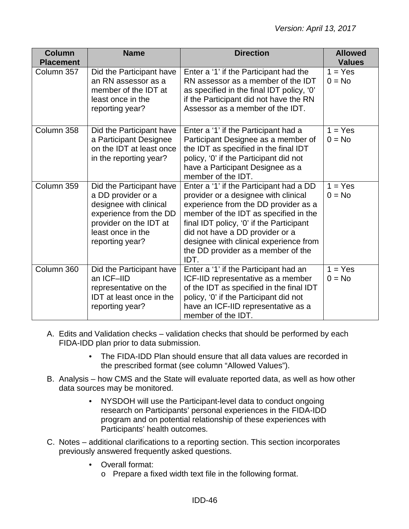| <b>Column</b><br><b>Placement</b> | <b>Name</b>                                                                                                                                                          | <b>Direction</b>                                                                                                                                                                                                                                                                                                                        | <b>Allowed</b><br><b>Values</b> |
|-----------------------------------|----------------------------------------------------------------------------------------------------------------------------------------------------------------------|-----------------------------------------------------------------------------------------------------------------------------------------------------------------------------------------------------------------------------------------------------------------------------------------------------------------------------------------|---------------------------------|
| Column 357                        | Did the Participant have<br>an RN assessor as a<br>member of the IDT at<br>least once in the<br>reporting year?                                                      | Enter a '1' if the Participant had the<br>RN assessor as a member of the IDT<br>as specified in the final IDT policy, '0'<br>if the Participant did not have the RN<br>Assessor as a member of the IDT.                                                                                                                                 | $1 = Yes$<br>$0 = No$           |
| Column 358                        | Did the Participant have<br>a Participant Designee<br>on the IDT at least once<br>in the reporting year?                                                             | Enter a '1' if the Participant had a<br>Participant Designee as a member of<br>the IDT as specified in the final IDT<br>policy, '0' if the Participant did not<br>have a Participant Designee as a<br>member of the IDT.                                                                                                                | $1 = Yes$<br>$0 = No$           |
| Column 359                        | Did the Participant have<br>a DD provider or a<br>designee with clinical<br>experience from the DD<br>provider on the IDT at<br>least once in the<br>reporting year? | Enter a '1' if the Participant had a DD<br>provider or a designee with clinical<br>experience from the DD provider as a<br>member of the IDT as specified in the<br>final IDT policy, '0' if the Participant<br>did not have a DD provider or a<br>designee with clinical experience from<br>the DD provider as a member of the<br>IDT. | $1 = Yes$<br>$0 = No$           |
| Column 360                        | Did the Participant have<br>an ICF-IID<br>representative on the<br><b>IDT</b> at least once in the<br>reporting year?                                                | Enter a '1' if the Participant had an<br>ICF-IID representative as a member<br>of the IDT as specified in the final IDT<br>policy, '0' if the Participant did not<br>have an ICF-IID representative as a<br>member of the IDT.                                                                                                          | $1 = Yes$<br>$0 = No$           |

- A. Edits and Validation checks validation checks that should be performed by each FIDA-IDD plan prior to data submission.
	- The FIDA-IDD Plan should ensure that all data values are recorded in the prescribed format (see column "Allowed Values").
- B. Analysis how CMS and the State will evaluate reported data, as well as how other data sources may be monitored.
	- NYSDOH will use the Participant-level data to conduct ongoing research on Participants' personal experiences in the FIDA-IDD program and on potential relationship of these experiences with Participants' health outcomes.
- C. Notes additional clarifications to a reporting section. This section incorporates previously answered frequently asked questions.
	- Overall format:
		- o Prepare a fixed width text file in the following format.